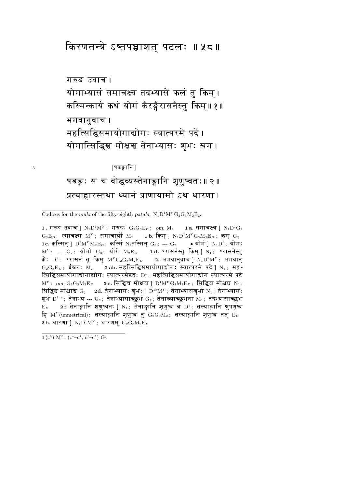# किरणतन्त्रे ऽष्तपञ्चाशत् पटलः ॥ ५८॥

# गरुड उवाच। योगाभ्यासं समाचक्ष्व तदभ्यासे फलं तु किम् । कस्मिन्कार्यं कथं योगं कैरङ्गैरासनैस्तु किम॥१॥ भगवानुवाच। महत्सिद्धिसमायोगाद्योगः स्यात्परमे पदे। योगात्सिद्धिञ्च मोक्षञ्च तेनाभ्यासः शुभः खग।

[षडङ्गानि]

षडङ्गः स च बोद्धव्यस्तेनाङ्गानि शृणुष्वतः॥२॥ प्रत्याहारस्तथा ध्यानं प्राणायामो ऽथ धारणा ।

Codices for the mula of the fifty-eighth patala:  $N_1D^1M^YG_2G_3M_2E_D$ .

 $1$ . गरुड उवाच ]  $\rm N_1D^1M^Y\,;\,\,\,$ गरुड $\rm:\,\,G_2G_3E_D\,;\,\,\,$  om.  $\rm M_2$ 1a. समाचक्ष्व |  $\rm N_1D^1G_2$  $G_3E_D$ ; स्माचक्ष्म M<sup>Y</sup>; समाचार्यो M<sub>2</sub> 1b. किम् ]  $N_1D^1M^YG_3M_2E_D$ ; कम्  $G_2$ 1c. कस्मिन् ]  $D^1M^YM_2E_D$ ; कस्मिं N<sub>1</sub>तस्मिन् G<sub>3</sub>; --- G<sub>2</sub> • योगं ] N<sub>1</sub>D<sup>1</sup>; योग:  $M^Y$ ; ---  $G_2$ ; योगो  $G_3$ ; योगे  $M_2E_D$  and  $\bullet$  रासनैस्तू किम् |  $N_1$ ;  $\bullet$  रासनैस्तू कैः  $\mathrm{D}^1\!$ : ॰रासनं तू किम्  $\mathrm{M}^Y\mathrm{G}_2\mathrm{G}_3\mathrm{M}_2\mathrm{E}_D$ 2. भगवानुवाच |  $N_1D^1M^Y$ ; भगवान्  $G_2G_3E_D$ ; ईश्वरः M<sub>2</sub> 2 ab. महत्सिद्धिसमायोगाद्योगः स्यात्परमे पदे | N<sub>1</sub>; मह-त्सिद्धिसमायोगाद्योगाद्योगः स्यात्परमेष्टदः  $D^1$ ; महत्सिद्धिसमायोगाद्योग स्यात्परमे पदे  $M^Y$ ; om.  $G_2G_3M_2E_D$  2c. सिद्धिस मोक्षस ]  $D^1M^YG_3M_2E_D$ ; सिद्धिस मोक्षस्च N<sub>1</sub>; सिद्धिञ्च मोक्षाञ्च  $G_2$  2d. तेनाभ्यासः शुभः ]  $D^{1c}M^Y$ ; तेनाभ्यासशुभो  $N_1$ ; तेनाभ्यासः शुभं  $\mathrm{D}^{1ac}$ ; तेनाभ्य ---  $\mathrm{G}_2$ ; तेनाभ्यासाच्छुभं  $\mathrm{G}_3$ ; तेनाख्याच्छुभना  $\mathrm{M}_2$ ; तदभ्यासाच्छुभं 2f. तेनाङ्गानि शुणुष्वतः | N<sub>1</sub>; तेनाङ्गानि शुणुष्व च D<sup>1</sup>; तस्याङ्गानि श्रुषणुष्व  $E_D$ हि  $M<sup>Y</sup>$  (unmetrical); तस्याङ्गानि शृणुष्व तु  $G_2G_3M_2$ ; तस्याङ्गानि शृणुष्व तत्  $E_D$ 3b. धारणा ]  $N_1D^1M^Y$ ; धारणम्  $G_2G_3M_2E_D$ 

 $1(c^5)$  M<sup>Y</sup>; (c<sup>1</sup>-c<sup>4</sup>, c<sup>7</sup>-c<sup>8</sup>) G<sub>3</sub>

 $\overline{5}$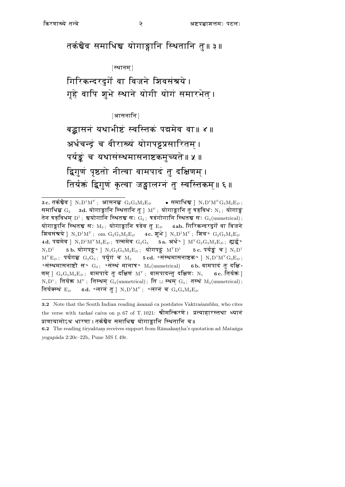तर्कश्चैव समाधिश्च योगाङ्गानि स्थितानि तु॥३॥

[स्थानम]

गिरिकन्दरदुर्गे वा विजने शिवसंश्रये। गृहे वापि शुभे स्थाने योगी योगं समारभेत् ।

[आसनानि]

बद्धासनं यथाभीष्टं स्वस्तिकं पद्ममेव वा॥ ४ ॥ अर्धचन्द्रं च वीराख्यं योगपट्टप्रसारितम् । पर्यङ्कं च यथासंस्थमासनाष्टकमुच्यते॥ ५ ॥ द्विगुणं पृष्ठतो नीत्वा वामपादं तु दक्षिणम् । तिर्यक्तं द्विगुणं कृत्वा जङ्घालग्नं तु स्वस्तिकम्॥ ६॥

<sup>3</sup> c. तर्कश्चैव |  $N_1D^1M^Y$ ; आसनञ्च  $G_2G_3M_2E_D$ • समाधिश्च |  $N_1D^1M^YG_3M_2E_D$ ; समाधिञ्च  $G_2$  3d. योगाङ्गानि स्थितानि तु ]  $M^Y$ ; योगाङ्गानि तु षड्विधः  $N_1$ ; योगाङ्ग तेन षड्विधम्  $D^1$ ; श्वयोगानि स्थितञ्च सः  $G_2$ ; षडंगोगानि स्थितञ्च सः  $G_3(\text{unmetrical})$ ; योगाङ्गानि स्थितञ्च सः  $M_2$ ; योगाङ्गानि षडेव तु  $E_D = 4ab$ . गिरिकन्दरदुर्गे वा विजने शिवसंत्रये ]  $N_1D^1M^Y$ ; om.  $G_2G_3M_2E_D$  4c. शुभे ]  $N_1D^1M^Y$ ; शिव $\bullet$   $G_2G_3M_2E_D$ 4d. पद्ममेव ]  $N_1D^1M^YM_2E_D$ ; पत्ममेव  $G_2G_3$  5a. अर्थ° ]  $M^YG_2G_3M_2E_D$ ; ह्यर्द्ध°  $N_1D^1$ 5 b. योगपट्ट $\circ$  |  $\text{N}_1\text{G}_2\text{G}_3\text{M}_2\text{E}_D$ ; योगपट्टं  $\text{M}^Y\text{D}^1$ 5  $\rm{c.}$  पर्यङ्कं च  $\rm{N_1D^1}$  $M^{Y}E_{D}$ ; पर्यंगञ्च  $G_2G_3$ ; पर्युगं च M<sub>2</sub> 5 cd. ° संस्थमासनाष्टक° ]  $N_1D^{1}M^{Y}G_3E_{D}$ ;  $\circ$ संस्थमासनाष्टौ स $\circ$  G<sub>2</sub>;  $\circ$ संस्थं मानाष $\circ$  M<sub>2</sub>(unmetrical) 6b. वामपादं तु दक्षि-णम् ]  $G_2G_3M_2E_D$ ; वामपादे तु दक्षिणं  $M^Y$ ; वामपादन्तु दक्षिणः  $N_1$  6c. तिर्यक्तं ]  $N_1D^1$ ; तिर्यक्त M<sup>Y</sup>; तिस्थम G<sub>2</sub>(unmetrical); ति  $\Box$  स्थम G<sub>3</sub>; तस्थं M<sub>2</sub>(unmetrical); 6d. °लग्नं तु ]  $N_1D^1M^Y$ ; °लग्नं च  $G_2G_3M_2E_D$ तिर्यक्स्थं  $\mathbf{E}_D$ 

<sup>3.2</sup> Note that the South Indian reading  $\bar{a}$ sanañ ca postdates Vaktraśambhu, who cites the verse with tarkas caiva on p.67 of T.1021: श्रीमत्किरणे। प्रत्याहारस्तथा ध्यानं प्राणायामोऽथ धारणा । तर्कश्चैव समाधिश्च योगाङ्गानि स्थितानि च॥

<sup>6.2</sup> The reading tiryaktam receives support from Rāmakaṇṭha's quotation ad Matanga yogapāda 2:20c-22b, Pune MS f. 49r.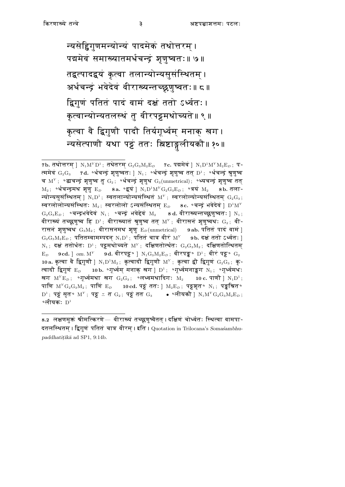न्यसेद्विगुणमन्योन्यं पादमेकं तथोत्तरम् । पद्ममेवं समाख्यातमर्धचन्द्रं शृणुष्वतः॥ ७॥ तद्वत्पादद्वयं कृत्वा तलान्योन्यसूसंस्थितम् । अर्धचन्द्रं भवेदेवं वीराख्यन्तच्छ्रुणुष्वतः॥ ८॥ द्विगुणं पतितं पादं वामं दक्षं ततो ऽर्ध्वतः। कृत्वान्योन्यतलस्थं तु वीरपट्टमथोच्यते॥९॥ कृत्वा वै द्विगुणौ पादौ तिर्यगूर्ध्वम् मनाक् खग । न्यसेत्पाणौ यथा पट्टं ततः स्निष्टाङ्गलीयकौ॥१०॥

<sup>7</sup>b. तथोत्तरम् ]  $N_1M^YD^1$ ; तथेतरम्  $G_2G_3M_2E_D$  7c. पद्ममेवं ]  $N_1D^1M^YM_2E_D$ ; प-त्ममेवं  $G_2G_3$  7d. ॰र्धचन्द्रं शृणुष्वतः | N<sub>1</sub>; ॰र्धचन्द्रं शृणुष्व तत् D<sup>1</sup>; ॰र्धचन्द्रं श्रृणुष्व च  $M^Y$ ; 'द्धचन्द्रं शुणुष्व तु  $G_2$ ; 'र्धचन्द्रं शुणुथ  $G_3(\text{unmetrical})$ ; 'ध्यचन्द्रं शुणुष्व तत  $\rm M_2$ ; ॰र्धचन्द्रमथ शृणु  $\rm E_{\it D}$  8a. ॰द्वयं |  $\rm N_1D^1M^YG_2G_3E_{\it D}$ ; ॰त्रयं  $\rm M_2$ 8b. तला-न्योन्यसूसंस्थितम् |  $N_1D^1$ ; स्वतलान्योन्यसंस्थितं  $M^Y$ ; स्वरलोल्योन्यसंस्थितम्  $G_2G_3$ ; स्वरलोलोन्यसंस्थितः  $\mathrm{M}_2$ ; स्वरलोलो ऽन्यसंस्थितम  $\mathrm{E}_D = 8c$ . ॰चन्द्रं भवेदेवं |  $\mathrm{D}^4\mathrm{M}^Y$  $G_2G_3E_D$ ; ॰चन्द्रभवेदेवं N<sub>1</sub>; ॰चन्द्रं भवेद्देवं M<sub>2</sub> 8d. वीराख्यन्तच्छ्रुणुष्वतः | N<sub>1</sub>; वीराख्यं तच्छ्रणुष्व हि  $D^1$ ; वीराख्यातं श्रुणुष्व तत्  $M^Y$ ; वीरासनं श्रुणुष्वथः  $G_2$ ; वी-रासनं श्रृणुष्वथ $G_3M_2$ ; वीरासनमथ श्रृणु  $E_D$ (unmetrical) 9ab. पतितं पादं वामं ]  $\rm G_2G_3M_2E_{\rm \scriptscriptstyle D}$ ; पतितम्बामम्पदन्  $\rm N_1D^1$ ; पतितं चात्र वीरं  $\rm M^Y$  9b. दक्षं ततो ऽर्ध्वतः । N<sub>1</sub>; दक्षं ततोर्थतः D<sup>1</sup>; पट्टमथोच्यते M<sup>Y</sup>; दक्षिणतोर्त्थतः G<sub>2</sub>G<sub>3</sub>M<sub>2</sub>; दक्षिणतोत्थितम् 9cd. ] om.  $M^Y$  9d. वीरपट्ट $\bullet$  ]  $N_1G_3M_2E_D$ ; वीरपङ्क $\bullet$   $D^1$ ; वीरं पट्ट $\bullet$   $G_2$  $E_D$ 10a. कृत्वा वै द्विगुणौ ]  $N_1D^1M_2$ ; कृत्वादौ द्विगुणौ M<sup>Y</sup>; कृत्वा द्वौ द्विगुणं  $G_2G_3$ ; कृ-त्वादौ द्विगुणं  $E_D$  10b. ॰गृर्ध्वम मनाक खग |  $D^1$ ; ॰गृर्ध्वमनाङ्कग  $N_4$ ; ॰गृर्ध्वमधः खग  $M^Y E_D$ ; 'गूर्ध्वमथा खग  $G_2 G_3$ ; 'लध्वमथादिग: M<sub>2</sub> 10 c. पाणौ ]  $N_1 D^1$ ; पाणि  $M^YG_2G_3M_2$ ; पाणि E<sub>D</sub> 10 cd. पट्टं ततः ]  $M_2E_D$ ; पट्ट्यृत॰ N<sub>1</sub>; पङ्कश्चित॰  $D^1$ ; पट्टं सृत॰  $M^Y$ ; पट्ट  $\preceq$  त $G_2$ ; पट्टं तत $G_3$  ● ॰लीयकौ ]  $N_1M^YG_2G_3M_2E_D$ ;  $\circ$ लीयकः  $D^1$ 

<sup>8.2</sup> लक्षणमुक्तं श्रीमत्किरणे— वीराख्यं तच्छ्रणूष्वैतत् । दक्षिणं चोर्ध्वतः स्थित्वा वामपा-दतलस्थितम । द्विगुणं पतितं चात्र वीरम । इति । Quotation in Trilocana's Somasambhupaddhatițīkā ad SP1, 9:14b.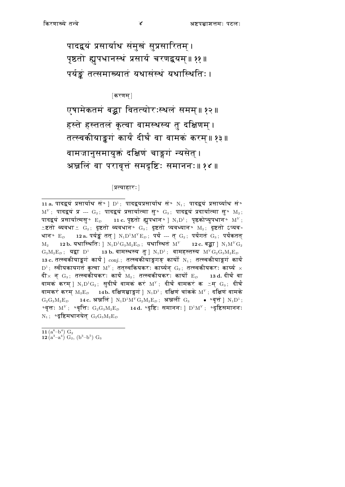पादद्वयं प्रसार्याथ संमुखं सुप्रसारितम् । पृष्ठतो ह्यूपधानस्थं प्रसार्य चरणद्वयम्॥ ११॥ पर्यङ्कं तत्समाख्यातं यथासंस्थं यथास्थितिः।

 $\lceil$ करणम्  $\rceil$ 

एषामेकतमं बद्धा वितत्योरःस्थलं समम्॥ १२॥ हस्ते हस्ततलं कृत्वा वामस्थस्य तु दक्षिणम् । तत्स्वकीयाङ्कगं कार्यं दीर्घं वा वामकं करम्॥१३॥ वामजानुसमायुक्तं दक्षिणं चाङ्गगं न्यसेत्। अञ्जलिं वा परावृत्तं समदृष्टिः समाननः॥ १४ ॥

[प्रत्याहारः]

11 a. पादद्वयं प्रसार्याथ सं॰ ]  $D^1$ ; पादद्वयप्रसार्याथ सं॰  $N_1$ ; पादद्वयं प्रसार्य्याथ सं॰  $M^Y$ ; पादद्वयं प्र --- G<sub>2</sub>; पादद्वयं प्रसार्यात्मा सु॰ G<sub>3</sub>; पादद्वयं प्रदार्यात्मा सु॰ M<sub>2</sub>; पादद्वयं प्रसार्यात्मसु॰  $E_D$  11 c. पृष्ठतो ह्युपधान॰ ]  $N_1D^1$ ; पृष्ठकोप्युपधान॰  $M^Y$ ; ≚ष्टतो व्यवधा≚  $G_2$ ; दृष्टतो व्यवधान॰  $G_3$ ; दृष्टतो प्यवध्यान॰  $M_2$ ; दृष्टतो ऽप्यव-धान॰  $\rm{E_{\it{D}}}$  = 12 a. पर्यङ्कं तत् ]  $\rm{N_1D^1M^YE_{\it{D}}}$ ; पर्यं --- त्  $\rm{G_2};$  पर्यंगतं  $\rm{G_3};$  पर्यंकतत्  $12\,\mathrm{b}$ . यथास्थितिः |  $\mathrm{N_1D^1G_3M_2E}_D$ ; यथास्थितं  $\mathrm{M}^Y$ 12 c. बद्धा |  $\rm N_1M^YG_2$  $M_{2}$  $G_3M_2E_D$ ; यद्वा D<sup>1</sup> 13b. वामस्थस्य तु ]  $N_1D^1$ ; वामहस्तस्य  $M^YG_2G_3M_2E_D$ 13 c. तत्स्वकीयाङ्कगं कार्यं ]  $\textit{conj.};$  तत्स्वकीयाङ्गगङ् कार्यो  $\text{N}_1;$  तत्स्वकीयाङ्गगं कार्यं  $\mathbb{D}^1$ ; स्वीयकायगतं कृत्वा  $\mathbb{M}^Y$ ; तत्स्वकियकरः कार्य्यन्  $\mathrm{G}_2$ ; तत्स्वकीयकरः कार्य्य  $\times$ दी $\times$  न्  $\mathrm{G}_3\!$ ; तत्स्वकीयकरः कार्यं  $\mathrm{M}_2\!$ ; तत्स्वकीयकरः कार्यो $\mathrm{E}_D$ 13 d. दीर्घ वा वामकं करम् ]  $\mathrm{N}_1\mathrm{D}^1\mathrm{G}_2$ ; सुदीर्घं वामकं करं  $\mathrm{M}^{\mathrm{y}}$ ; दीर्घं वामकरं क $\,$  ≚म्  $\mathrm{G}_3\,$ ; दीर्घं वामकरं करम्  $\text{M}_2\text{E}_D$  14b. दक्षिणञ्चाङ्गगं ]  $\text{N}_1\text{D}^1$ ; दक्षिणं चांकके  $\text{M}^Y$ ; दक्षिणं वामके  $14\,\mathrm{c}$ . अञ्जलि ]  $\mathrm{N_1D^1M^YG_2M_2E}_D\,;\;$  अञ्जलीं $\mathrm{G}_3$  $\bullet$   $\circ$ वृत्तं ]  $N_1D^1$ ;  $G_2G_3M_2E_D$ ०वृत्तः  $\mathrm{M}^{\mathrm{Y}}$ ; ०वृत्तिः  $\mathrm{G}_2\mathrm{G}_3\mathrm{M}_2\mathrm{E}_D$ 14 d. ॰दृष्टिः समाननः ] $D^1M^Y$ ; ॰दृष्टिसमाननः  $N_1$ ; ॰दृष्टिमथानयेत्  $G_2G_3M_2E_D$ 

11  $(a^6-b^4)$   $G_2$  $12(a^3-a^4) G_2$ ,  $(b^3-b^5) G_3$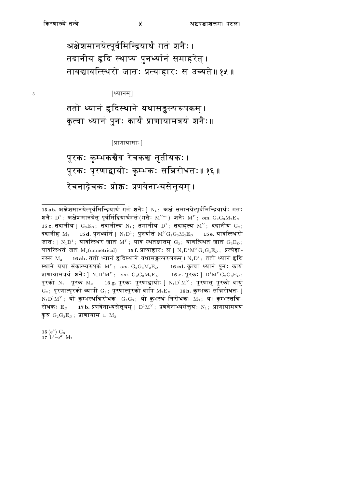$\overline{5}$ 

अक्षेशमानयेत्पूर्वमिन्द्रियार्थं गतं शनैः। तदानीय हृदि स्थाप्य पुनर्थ्यानं समाहरेत् । तावद्यावत्स्थिरो जातः प्रत्याहारः स उच्यते॥१५॥

 $|\mathbf{w}$ ानम $|$ 

ततो ध्यानं हृदिस्थाने यथासङ्कल्परूपकम् । कृत्वा ध्यानं पुनः कार्यं प्राणायामत्रयं शनैः॥

 $|\pi$ णायामाः $|$ 

पूरकः कुम्भकञ्चैव रेचकञ्च तृतीयकः। पूरकः पूरणाद्वायोः कुम्भकः सन्निरोधतः॥ १६॥ रेचनाद्रेचकः प्रोक्तः प्रणवेनाभ्यसेत्तूयम् ।

15 $(e^4)$  G<sub>3</sub>  $17\,[b^5-e^2]\,M_2$ 

<sup>15</sup> ab. अक्षेश्रमानयेत्पूर्वमिन्द्रियार्थं गतं शनैः ] N<sub>1</sub>; अक्षं समानयेत्पूर्वमिन्द्रियार्थः गतः शनैः  $D^1$ ; अक्षेशमानयेत् पूर्वमिंद्रियार्थगतं (गतैः  $M^{Yac}$ ) शनैः  $M^Y$ ; om.  $G_2G_3M_2E_D$ 15 c. तदानीय ]  $G_3E_D$ ; तदानीत्य N<sub>1</sub>; तमानीय D<sup>1</sup>; तदाहृत्य M<sup>Y</sup>; ददानीय  $G_2$ ; ददानीह $\rm ~M_2$  $15 d.$  पुनर्थ्यानं ]  $N_1 D^1$ ; पुनर्यातं  $M^Y G_2 G_3 M_2 E_D$  15e. यावत्स्थिरो जातः ]  $N_1D^1$ ; यावत्स्थिरं जातं  $M^Y$ ; याव स्थतञ्जातम्  $G_2$ ; यावत्स्थितं जातं  $G_3E_D$ ; यावत्स्थितं जतं M<sub>2</sub>(unmetrical) 15 f. प्रत्याहार: स | N<sub>1</sub>D<sup>1</sup>M<sup>Y</sup> G<sub>2</sub>G<sub>3</sub>E<sub>D</sub>; प्रत्येहा-नस्स  $M_2$  16ab. ततो ध्यानं हृदिस्थाने यथासङ्कल्परूपकम् ।  $N_1D^1$ ; ततो ध्यानं हृदि स्थाने यथा संकल्प्यरूपकं  $\text{M}^{\text{Y}}$ ; om.  $\text{G}_{2}\text{G}_{3}\text{M}_{2}\text{E}_{D}$  16 cd. कृत्वा ध्यानं पुनः कार्यं प्राणायामत्रयं शनैः ]  $N_1D^1M^Y$ ; om.  $G_2G_3M_2E_D$  16 e. पूरकः ]  $D^1M^YG_2G_3E_D$ ; पूरको  $N_1$ ; पूरकं  $M_2$  16 g. पूरकः पूरणाद्वायोः ]  $N_1D^1M^Y$ ; पूरणात् पूरको वायुं  $\rm G_2$ ; पूरणात्पूरको व्यापी  $\rm G_3$ ; पूरणात्पूरको वापि  $\rm M_2E_{\it D}$  16h. कुम्भकः सन्निरोधतः ]  $N_1D^1M^Y$ ; यो कुम्भस्थन्निरोधकः  $G_2G_3$ ; यो कुंभस्थं निरोधकः  $M_2$ ; यः कुम्भस्तन्नि-रोधकः  $E_D$  17b. प्रणवेनाभ्यसेत्तूयम् ]  $D^1M^Y$ ; प्रणवेनाभ्यसेत्तूयः  $N_1$ ; प्राणायामत्रयं कुरु  $G_2G_3E_D$ ; प्राणायाम  $\sqcup M_2$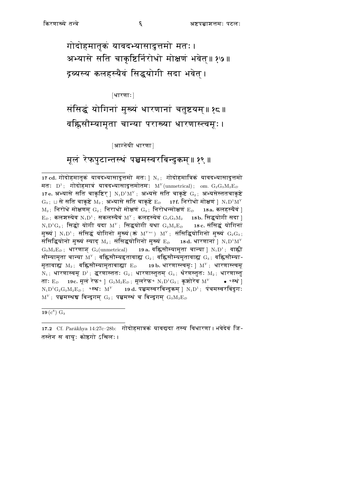गोदोहमातृकं यावदभ्यासादुत्तमो मतः। अभ्यासे सति चाकृष्टिर्निरोधो मोक्षणं भवेत्॥ १७॥ द्रव्यस्य कलहस्यैवं सिद्धयोगी सदा भवेत ।

[धारणाः]

संसिद्धं योगिनां मुख्यं धारणानां चतुष्टयम्॥ १८॥ वह्निसौम्यामृता चान्या पराख्या धारणास्त्वम्ः।

[आग्नेयी धारणा]

## मूलं रेफपुटान्तस्थं पञ्चमस्वरबिन्दुकम्॥ १९ ॥

17 cd. गोदोहमातृकं यावदभ्यासादुत्तमो मतः ] $N_1$ ; गोदोहमात्रिकं यावदभ्यासादुत्तमो मतः  $D^1$ ; गोदोहमात्रं यावदभ्यासादुत्तमोतमः M<sup>Y</sup> (unmetrical); om.  $G_2G_3M_2E_D$ 17e. अभ्यासे सति चाकृष्टिर् ]  $N_1D^1M^Y$ ; अभ्यसे सति चाकृष्टे  $G_2$ ; अभ्यसेस्ततचाकृष्टे  $G_3$ ; ⊔ से सति चाकृष्टे M<sub>2</sub>; अभ्यासे सति चाकृष्टे E<sub>D</sub> 17f. निरोधो मोक्षणं | N<sub>1</sub>D<sup>1</sup>M<sup>Y</sup>  $M_2$ ; निरोधे मोक्षणम्  $G_2$ ; निराधो मोक्षणं  $G_3$ ; निरोधन्मोक्षणं  $E_D$  18a. कलहस्यैवं ]  $\mathbf{E}_D$ ; कलशस्येव  $\mathrm{N}_1\mathrm{D}^1$ ; सकलस्यैवं  $\mathrm{M}^Y$ ; कलहस्येवं  $\mathrm{G}_2\mathrm{G}_3\mathrm{M}_2$  18b. सिद्धयोगी सदा ]  $N_1D^1G_3$ ; सिद्धो योगी यदा M'; सिद्धयोगी यथा  $G_2M_2E_D$  18 c. संसिद्धं योगिनां मुख्यं ]  $N_1D^1$ ; संसिद्धं योगिनो मुख्यं (क़ं  $M^{Yac}$ )  $M^Y$ ; संसिद्धियोगिनो मुख्यं  $G_2G_3$ ; संसिद्धियोनो मुख्यं स्याद्  $\text{M}_2$ ; संसिद्धयोगिनो मुख्यं  $\text{E}_D$  18d. धारणानां ]  $\text{N}_1\text{D}^1\text{M}^Y$  $G_3M_2E_D$ ; धारणाञ्  $G_2$ (unmetrical) 19a. वहिसौम्यामृता चान्या ]  $N_1D^1$ ; वाह्नी सौम्यामृता चान्या  $M^{\gamma}$ ; वह्निसौम्यहृतावाह्य  $G_2$ ; वह्निसौम्यमृतावाह्य  $G_3$ ; वह्निसौम्या-मृतावाह्य  $\mathrm{M}_2$ ; वह्निसौम्यामृताबाह्या  $\mathrm{E}_D$  19b. धारणास्त्वम्: ]  $\mathrm{M}^{\mathrm{y}}$ ; धारणास्त्वमू N<sub>1</sub>; धारणास्वमू D<sup>1</sup>; द्धरणास्ततः G<sub>2</sub>; धारणास्तुतम् G<sub>3</sub>; र्थरणस्तुतः M<sub>2</sub>; धारणास्तु  $19c.$  मूलं रेफ॰ ]  $\mathrm{G_2M_2E}_D$ ; मूलरेफ॰  $\mathrm{N_1D^1G_3};$  कृशोरेव  $\mathrm{M}^Y$ ताः  $\mathrm{E}_{D}$ ∙ ∘स्थं ।  $N_1D^1G_2G_3M_2E_D$ ; ॰स्थ:  $M^Y$  19d. पञ्चमस्वरबिन्दुकम् ]  $N_1D^1$ ; पंचमस्वरबिंदुग:  $M<sup>Y</sup>$ ; पञ्चमस्थञ्च बिन्दुगम्  $G_2$ ; पञ्चमस्थं च बिन्दुगम्  $G_3M_2E_D$ 

 $19(c^8) G_3$ 

<sup>17.2</sup> Cf. Parākhya 14:27c-28b: गोदोहमात्रकं यावद्यदा तस्य विधारणा। भवेदेवं जि-तस्तेन स वायुः कोष्ठगो ऽखिलः।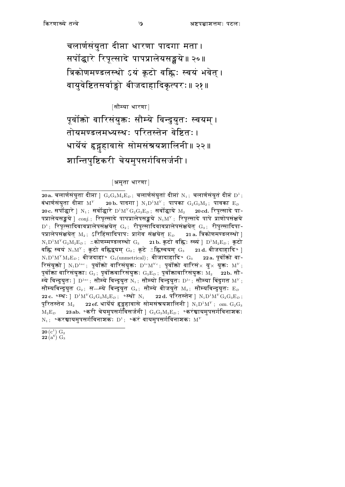चलार्णसंयुता दीप्ता धारणा पादगा मता। सर्पोद्धारे रिपूत्सादे पापप्रालेयसङ्खये॥ २०॥ त्रिकोणमण्डलस्थो ऽयं कूटो वह्निः स्वयं भवेत् । वायवेष्टितसर्वाङ्गो बीजदाहादिकत्परः॥ २१॥

[सौम्या धारणा]

पूर्वोक्तो वारिसंयुक्तः सौम्ये विन्दुयुतः स्वयम् । तोयमण्डलमध्यस्थः परितस्तेन वेष्टितः। धार्येयं हृद्गहावासे सोमसंश्रयशालिनी॥ २२॥ शान्तिपुष्टिकरी चेयमुपसर्गविसर्जनी ।

#### [अमृता धारणा]

20a. चलार्णसंयुता दीप्ता ]  $G_2G_3M_2E_D$ ; चलार्णसंयुतां दीप्तां N<sub>1</sub>; चलार्णसंयुतं दीप्तं D<sup>1</sup>; बंधार्णसंयुता दीप्ता  $M^Y$  20 b. पादगा ]  $N_1D^1M^Y$ ; पापका  $G_2G_3M_2$ ; पावका  $E_D$ 20 c. सर्पोद्धारे | N<sub>1</sub>; सर्वोद्धारे  $D^1M^Y\mathrm{G}_2\mathrm{G}_3\mathrm{E}_D$ ; सर्वोद्धाये M<sub>2</sub> <u>20cd. रिप</u>ूत्सादे पा-पप्रालेयसङ्घये ।  $_{\rm{conj.}}$ ; रिपुत्सादे पापप्रालेपसङ्घये  $\rm{N_1M^{\nu}}$ ; रिपुत्सादे पापे प्राणोपसंक्षये  $D^1$ ; रिपूत्सादिवावप्रालेपसंक्षयेत्  $G_2$ ; रीपुत्सादिवावप्रालेपसंक्षयेत्  $G_3$ ; रीपुत्सादिपा-पप्रालेपसंक्षयेत्  $\mathrm{M}_2;$  ऽरिहिंसादिपापः प्रागेव संक्षयेत्  $\mathrm{E}_D = 2$ 1 a. त्रिकोणमण्डलस्थो ]  $N_1D^1M^YG_2M_2E_D$ ; "कोणम्मण्डलस्थो  $G_3$  21b. कूटो वह्नि: स्व्यं |  $D^1M_2E_D$ ; कूटो वह्नि स्वयं  $\text{N}_1\text{M}^{\text{Y}}$ ; कूटो वह्निद्वयम्  $\text{G}_2$ ; कूटे ≚ह्निस्वयम्  $\text{G}_3$  21d. बीजदाहादि० ]  $N_1D^1M^YM_2E_D$ ; बीजदाहा॰  $G_2(\text{unmetrical})$ ; बीजादाहादि॰  $G_3$  $22a$ . पर्वोंको वा-रिसंयुक्तो ]  $N_1D^{1ac}$ ; पूर्वोंको वारिसंयुक्तः  $D^{1c}M^{Yc}$ ; पूर्वोंको वारिसं $\times$  यु $\times$  युक्तः  $M^Y$ ; पूर्वोक्ता वारिसंयुक्ताः  $\mathrm{G}_2\!$ ; पूर्वोक्तवारिसंयुक्तः  $\mathrm{G}_3\mathrm{E}_D\!$ ; पूर्वोक्तावारिसंयुक्तः  $\mathrm{M}_2$ 22b. सौ-म्ये विन्दुयुतः ]  $D^{1ac}$ ; सौम्ये विन्दुयुत  $N_1$ ; सौम्यो विन्दुयुतः  $D^{1c}$ ; सौम्या बिंदुगत  $M^Y$ ; सौम्यबिन्दुयुत  $\mathrm{G}_2$ ; स---म्ये बिन्दुयुत  $\mathrm{G}_3$ ; सौम्ये बीजयुते  $\mathrm{M}_2$ ; सौम्यबिन्दुयुतः  $\mathrm{E}_D$ 22 c.  $\text{R}}$  . PM<sup>Y</sup> $G_2G_3M_2E_D$ ;  $\text{R}}$  , 22 d. परितस्तेन |  $N_1D^1M^YG_2G_3E_D$ ; पूरितस्तेन  $M_2$  22 ef. धार्येयं हृद्गहावासे सोमसंत्रयशालिनी ]  $N_1D^1M^Y$ ; om.  $G_2G_3$  $M_2E_D$  23ab. ॰करी चेयमुपसर्गविसर्जनी ]  $G_2G_3M_2E_D$ ; ॰करंञ्चायमुपसर्गविनाशकः  $N_1$ ; ॰करञ्चायमुपसर्गविनाशकः  $D^1$ ; ॰करं वायमुपसर्गविनाशकः  $M^Y$ 

 $\frac{{{\mathbf{20}}\left( {{\mathbf{c}}^1} \right){\mathbf{G}_2}}}{{{\mathbf{22}}\left( {{\mathbf{a}}^6} \right){\mathbf{G}_3}}}$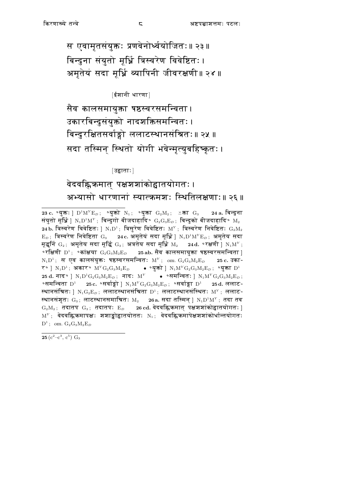स एवामृतसंयुक्तः प्रणवेनोर्ध्वयोजितः॥ २३॥ बिन्दुना संयुतो मूर्ध्नि त्रिस्वरेण विवेष्टितः । अमृतेयं सदा मृधिं व्यापिनी जीवरक्षणी॥ २४॥

[ईशानी धारणा]

सैव कालसमायुक्ता षष्ठस्वरसमन्विता । उकारबिन्दुसंयुक्तो नादशक्तिसमन्वितः। बिन्दुरक्षितसर्वाङ्गो ललाटस्थानसंश्रितः॥ २५ ॥ सदा तस्मिन स्थितो योगी भवेन्मृत्युबहिष्कृतः ।

[उद्वाताः]

### वेदवह्निकमात् पक्षशशांकोद्वातयोगतः । अभ्यासो धारणानां स्यात्क्रमश्नः स्थितिलक्षणाः॥ २६ ॥

 $25(c^2-c^3, c^5)$  G<sub>3</sub>

<sup>23</sup> c. ° युक्तः ]  $D^1M^YE_D$ ; ° युक्तो  $N_1$ ; ° युक्ता  $G_2M_2$ ; ≚क्ता  $G_3$ 24 a. बिन्दुना संयुतो मूर्धि |  $N_1D^1M^Y$ ; बिन्दुगो बीजदाहादि॰  $G_2G_3E_D$ ; बिन्दुको बीजदाहादि॰  $M_2$ 24 b. त्रिस्वरेण विवेष्टितः ]  $N_1D^1$ ; त्रिसुरेण विवेष्टितः M<sup>Y</sup>; त्रिस्वरेण निवेष्टितः  $G_2M_2$  $E_D$ ; त्रिस्वरेण निवेष्टिता  $G_3$  24c. अमृतेयं सदा मूर्धि ]  $N_1D^1M^YE_D$ ; अमृतेय सदा मूद्धर्नि  $G_2$ ; अमृतेय सदा मूर्द्धि  $G_3$ ; अत्रतेय सदा मूर्ध्नि  $M_2$  24d.  $\circ$ रक्षणी |  $N_1 M^Y$ ; ०रक्षिणी  $\mathrm{D}^1\!$  ॰कांक्षया  $\mathrm{G}_2\mathrm{G}_3\mathrm{M}_2\mathrm{E}_D$  25 ab. सैव कालसमायुक्ता षष्ठस्वरसमन्विता |  $N_1D^1$ ; स एव कालसंयुक्तः षष्ठस्वरसमन्वितः M<sup>Y</sup>; om.  $G_2G_3M_2E_D$ 25 c. उका-र॰ ]  $N_1D^1$ ; अकार॰  $M^YG_2G_3M_2E_D$  • ॰युक्तो ]  $N_1M^YG_2G_3M_2E_D$ ; ॰युक्ता  $D^1$ 25 d. नाद° |  $N_1D^1G_2G_3M_2E_D$ ; नाद:  $M^Y$  • 'समन्वित: |  $N_1M^YG_2G_3M_2E_D$ ; ०समन्विता  $D^1$  25 $c$ . ०सर्वाङ्गो |  $N_1M^YG_2G_3M_2E_D$ ; ०सर्वाङ्गा  $D^1$  25d. ललाट-स्थानसंश्रितः ]  $N_1G_2E_D$ ; ललाटस्थानसंश्रिता  $D^1$ ; ललाटस्थानसंस्थितः  $M^Y$ ; ललाट-स्थानसंशुतः  $\rm G_3$ ; लाटस्थानसमाश्रितः  $\rm M_2 = 26$ a. सदा तस्मिन |  $\rm N_1D^1M^{\rm Y}$ ; तदा तव  $G_2M_2$ ; तदातप  $G_3$ ; तदातप:  $E_D$  26 cd. वेदवह्निकमात पक्षशशांकोद्वातयोगत: ]  $M<sup>Y</sup>$ ; वेदवह्निकमापक्षः शशाङ्कोद्वातयोततः N<sub>1</sub>; वेदवह्निकमापेक्षशशांकोर्धान्तयोगतः  $D^1$ ; om.  $G_2G_3M_2E_D$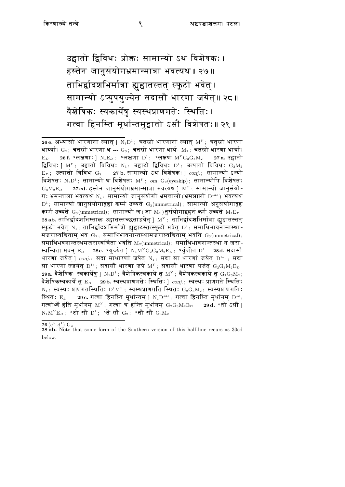उद्वातो द्विविधः प्रोक्तः सामान्यो ऽथ विशेषकः। हस्तेन जानुसंयोगभ्रमान्मात्रा भवत्यथ॥ २७॥ ताभिर्द्वादशभिर्मात्रा ह्युद्वातस्तत् स्फुटो भवेत् । सामान्यो ऽप्युपयुज्येत सदासौ धारणा जयेत्॥ २८॥ वैशेषिकः स्वकार्येषु स्वस्थप्राणगतेः स्थितिः। गत्वा हिनस्ति मुर्धान्तमद्वातो ऽसौ विशेषतः॥ २९ ॥

<sup>26</sup> e. अभ्यासो धारणानां स्यात् |  $N_1D^1$ ; चतस्रो धारणानां स्यात्  $M^Y$ ; चतुस्रो धारणा धार्य्याः  $G_2$ ; चतस्रो धारणा ध ---  $G_3$ ; चतस्रो धारणा धार्यः  $M_2$ ; चतस्रो धारणा धार्याः 26 f. °लक्षणाः |  $N_1E_D$ ; °लक्षणा  $D^1$ ; °लक्षणं  $M^YG_2G_3M_2$  $E_{D}$ 27 a. उद्<u>वा</u>तो द्विविधः ]  $M^Y$ ; उद्वातो विविधः N<sub>1</sub>; उद्वाटो द्विविधः D<sup>1</sup>; उत्पातो विविधः  $G_2M_2$  $E_D$ ; उत्पातो विविध  $G_3$  27 b. सामान्यो ऽथ विशेषकः | conj.; सामान्यो ऽन्यो विशेषतः  $N_1D^1$ ; सामान्यो थ विशेषतः M'; om.  $G_2$ (eyeskip); सामान्योपि विशेषतः  $G_3M_2E_D$ 27 cd. हस्तेन जानुसंयोगभ्रमान्मात्रा भवत्यथ |  $M^{\gamma}$ ; सामान्यो जानुसंयो-गः भ्रमन्ताला भवत्यथ $N_1$ ; सामान्यो जानुसंयोगो भ्रमत्तालो (भ्रमन्नालो  $D^{1ac}$ ) भवत्यथ  $D^1$ ; सामान्यो जानुसंयोगादृहां कर्म्म उच्यते  $G_2$ (unmetrical); सामान्यो अनुसंयोगादृहं कर्म्म उच्यते  $\rm{G}_{3}(\rm{unmetrical})$ ; सामान्यो ज $(\rm{d} \rm{T} \; \rm{M}_{2})$ तुसंयोगाद्दहनं कर्म उच्यते  $\rm{M}_{2}\rm{E}_{\it{D}}$ 28ab. ताभिर्द्वादशभिस्ताळ उद्वातस्तच्छताड्नवेत |  $\texttt{M}^{\texttt{y}}$ ; ताभिर्द्वादशभिर्मात्रा ह्यद्वातस्तत स्फुटो भवेत  $N_1$ ; ताभिर्द्वादशभिर्मात्रो ह्यद्वाटस्तत्स्फुटो भवेत  $D^1$ ; समाधिभावनान्तस्था-मजरास्वचिताम भव  $G_2$ : समाधिभावनान्तस्थामजरास्वच्चिताम भवति  $G_3(\text{unmetrical})$ : समाधिभवनान्तस्थमजरास्वर्चितां भवति  $\mathrm{M}_{2}(\mathrm{unmetrical})$ ; समाधिभावनान्तस्था न जरा-स्वन्विता भवन  $\rm E_{\it D}$  28 $\rm c$ . ॰युज्येत |  $\rm N_1M^YG_2G_3M_2E_{\it D}$ ; ॰युजीत  $\rm D^1$  28 $\rm d$ . सदासौ धारणा जयेत् ]  $conj.;$  सदा साधारणां जपेत् N<sub>1</sub>; सदा सा धारणां जयेत् D<sup>1ac</sup>; सदा सा धारणां ज्जयेत्  $D^{1c}$ ; सदासौ धारणा जपे  $M^{Y}$ ; सदासौ धारणा यजेत  $\rm G_2G_3M_2E_{\mathcal{D}}$ 29a. वैशेषिकः स्वकार्येषु |  $\mathrm{N}_1\mathrm{D}^1$ ; वैशेषिकस्वकाये तु  $\mathrm{M}^{\mathrm{y}}$ ; वैशेषकस्वकाये तु  $\mathrm{G}_2\mathrm{G}_3\mathrm{M}_2$ ; वैशेषिकस्वकार्ये तु $\mathbf{E}_D = 2$ 9b. स्वस्थप्राणगतेः स्थितिः  $\mid$   $conj.$ ; स्वस्थः प्राणगते स्थितिः N<sub>1</sub>; स्वस्थः प्राणगतस्थितिः D<sup>1</sup>M<sup>Y</sup>; स्वस्थप्राणगति स्थितः  $G_2G_3M_2$ ; स्वस्थप्राणगतिः स्थितः  $E_D$  29 c. गत्वा हिनस्ति मूर्धान्तम् ]  $N_1D^{1ac}$ ; गत्वा हिनस्ति मूर्धानम्  $D^{1c}$ ; गत्वोर्थ्वे हंति मूर्धानम्  $\text{M}^{\text{y}}$ ; गत्वा च हन्ति मूर्धानम्  $\text{G}_2\text{G}_3\text{M}_2\text{E}_D$ \_29 d. ∘तो ऽसौ <u>|</u>  $N_1M^YE_D$ ; ॰टो सौ  $D^1$ ; ॰ते सौ  $G_2$ ; ॰तौ सौ  $G_3M_2$ 

 $\overline{26}$  (c<sup>8</sup>-d<sup>1</sup>) G<sub>3</sub>

<sup>28</sup> ab. Note that some form of the Southern version of this half-line recurs as 30cd below.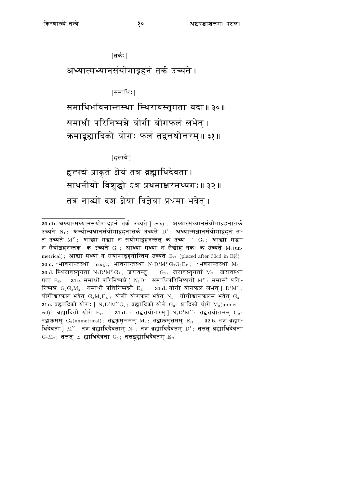[तर्कः]

अध्यात्मध्यानसंयोगादूहनं तर्क उच्यते ।

[समाधिः]

समाधिर्भावनान्तस्था स्थिरावस्तुगता यदा॥३०॥ समाधौ परिनिष्पन्ने योगी योगफलं लभेत्। क्रमाद्बह्यादिको योगः फलं तद्वत्तथोत्तरम्॥ ३१॥

[हृत्पद्मे]

हत्पद्मं प्राकृतं ज्ञेयं तत्र ब्रह्माभिदेवता। साधनीयो विशुद्धो ऽत्र प्रथमाक्षरमध्यगः॥ ३२॥ तत्र नाड्यो दश ज्ञेया विज्ञेया प्रथमा भवेत् ।

<sup>30</sup> ab. अध्यात्मध्यानसंयोगादृहनं तर्क उच्यते |  $conj.$ ; अध्यात्मध्यानसंयोगादृहनात्तर्क उच्यते N<sub>1</sub>: अन्योन्यधानसंयोगादृहनात्तर्क उच्यते D<sup>1</sup>; अध्यात्मज्ञानसंयोगादृहनं त-त उच्यते  $\mathrm{M}^\mathrm{y}\,;\;$  आद्या मद्या न संयोगादुहनन्तत् क उच्य  $\, \preceq \, \mathrm{G}_2;\;$  आद्या मद्या न सैयोज्ञहनन्तकः क उच्यते  $\mathrm{G}_3$ ; आध्या मध्या न सैद्योह नकः क उच्यते  $\mathrm{M}_2(\mathrm{un}$ metrical); आद्या मध्या न संयोगादूहनोन्तिम उच्यते  $E_D$  (placed after 30cd in  $E_D^{vl}$ ) 30 c. °र्भावनान्तस्था | conj.; भावनान्तस्था  $N_1D^1M^YG_2G_3E_D$ ; °भवनान्तस्थां  $M_2$ 30 d. स्थिरावस्तुगता  $N_1D^1M^YG_2$ ; जरावस्तु ---  $G_3$ ; जरावस्तुगता  $M_2$ ; जरावस्था  $31c$ . समाधौ परिनिष्पन्ने |  $N_1D^1$ ; समाधिपरिनिष्पत्तौ  $M^Y$ ; समासौ पति-गता  $E_D$ निष्पन्ने  $\rm{G}_2\rm{G}_3\rm{M}_2$ ; समाधौ पतिनिष्पन्नौ  $\rm{E}_D$  31d. योगी योगफलं लभेत |  $\rm{D}^1\rm{M}^Y$ ; योगीश्वरफलं भवेत  $\mathrm{G}_3\mathrm{M}_2\mathrm{E}_D$ ; योगी योगफलं भवेत  $\mathrm{N}_1$ ; योगीश्वागफलम भवेत  $\mathrm{G}_2$ 31 c. ब्रह्मादिको योगः ]  $N_1D^1M^YG_2$ ; ब्रह्मादिको योगे  $G_3$ ; प्रादिको योगे  $M_2(\text{unmetric})$ cal); ब्रह्मादितो योगे  $E_D$  31 d.; तद्वत्तथोत्तरम् |  $N_1D^1M^Y$ ; तद्वत्तथोत्तमम्  $G_2$ ; तद्वाक्तमम्  $\mathrm{G}_3(\mathrm{unmetrical})$ ; तद्वकुमुत्तमम्  $\mathrm{M}_2$ ; तद्वाक्तमुत्तमम्  $\mathrm{E}_D$ 32 b. तत्र ब्रह्मा-थिदेवता | M<sup>Y</sup>; तत्र ब्रह्मादिदैवताम् N<sub>1</sub>; तत्र ब्रह्मादिदैवतम् D<sup>1</sup>; तत्तत् ब्रह्माधिदेवता  $\rm\,G_{2}M_{2}\,;$  तत्तत्  $\rm\,Z\,$  ह्माधिदेवता  $\rm\,G_{3}\,;$  तत्तद्ग्रह्माधिदैवतम्  $\rm\,E_{\it D}$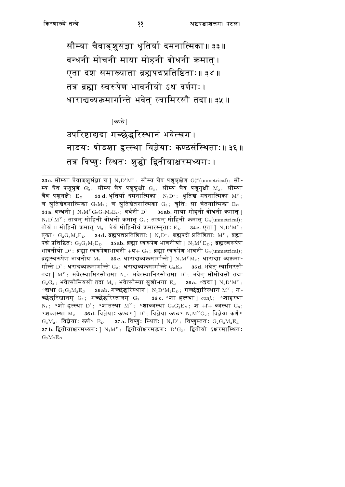सौम्या चैवाङ्शुसंज्ञा धृतिर्या दमनात्मिका॥ ३३॥ बन्धनी मोचनी माया मोहनी बोधनी कमात । एता दश समाख्याता ब्रह्मपद्मप्रतिष्ठिताः॥३४॥ तत्र ब्रह्मा स्वरूपेण भावनीयो ऽथ वर्णगः। धाराद्यव्यक्तमार्गान्ते भवेत स्वामिरसौ तदा॥३५॥

⊺कण्ठे ∣

उपरिष्टाद्यदा गच्छेद्वरिस्थानं भवेत्खग। नाडयः षोडशा हृत्स्था विज्ञेयाः कण्ठसंस्थिताः॥३६॥ तत्र विष्णुः स्थितः शुद्धो द्वितीयाक्षरमध्यगः।

<sup>33</sup>c. सौम्या चैवाङ्शूसंज्ञा च |  $N_1D^1M^Y$ ; सौम्य चैव पशून्नक्षेण  $G_2^{ac}(\text{unmetrical})$ ; सौ-म्य चैव पशून्र्णे  $G_2^c$ ; सौम्य चैव पशून्नुक्षौ  $G_3$ ; सौम्य चैव पशूनृक्षौ  $M_2$ ; सौम्या चैव पशूनक्षेः  $\rm E_{\it D}$  asd. धृतिर्या दमनात्मिका |  $\rm N_1D^1$ ; धृतिञ्च मदनात्मिका  $\rm M^{\it Y}$ ; च श्रुतिञ्चेदनात्मिका  $\mathrm{G}_2\mathrm{M}_2$ ; च श्रुतिञ्चेतनात्मिका  $\mathrm{G}_3$ ; श्रुतिः सा चेतनात्मिका  $\mathrm{E}_D$ 34a. बन्धनी |  $N_1M^YG_2G_3M_2E_D$ ; वर्धनी  $D^1$  34ab. माया मोहनी बोधनी क्रमात |  $N_1D^1M^Y$ ; तायम मोहिनी बोधनी कमात  $G_2$ ; तायम मोहिनी कमात  $G_3$ (unmetrical); तोयं ⊔ मोहिनी कमात  $\mathrm{M}_2$ ; चेयं मोहिनीयं कमात्स्मृताः  $\mathrm{E}_D$  34 $\mathrm{c}$ . एता |  $\mathrm{N}_1\mathrm{D}^1\mathrm{M}^Y$ ; एका॰  $\rm G_2G_3M_2E_D$  34d. ब्रह्मपद्मप्रतिष्ठिताः |  $\rm N_1D^1$ ; ब्रह्मपद्मे प्रतिष्ठिताः  $\rm M^{\rm Y}$ ; ब्रह्मा पद्मे प्रतिष्ठितः  $\mathrm{G}_2\mathrm{G}_3\mathrm{M}_2\mathrm{E}_D$  asab. ब्रह्मा स्वरूपेण भावनीयो |  $\mathrm{N}_1\mathrm{M}^Y\mathrm{E}_D$ ; ब्रह्मस्वरूपेण भावनीयो  $D^1$ ; ब्रह्मा स्वरूपेणाभावनी +य+  $G_2$ ; ब्रह्मा स्वरूपेण भावनी  $G_3$ (unmetrical); ब्रह्मस्वरूपेण भावनीय  $\rm M_2 = 35 c$ . धाराद्यव्यक्तमार्गान्ते |  $\rm N_1M^Y\rm M_2$ ; धाराद्या व्यक्तमा-र्गान्ते  $\mathrm{D}^1$ ; धरादव्यक्तमार्गान्ते  $\mathrm{G}_2$ ; धराद्यव्यक्तमार्गान्ते  $\mathrm{G}_3\mathrm{E}_D$   $=$  35d. भवेत स्वामिरसौ तदा ]  $M^Y$ ; भवेत्स्वामिरसोत्तमा  $N_1$ ; भवेत्स्वानिरसोत्तमा  $D^1$ ; भवेत सौमीयसौ तदा  $G_2G_3$ : भवेत्सौमियसौ तदा M<sub>2</sub>: भवेत्सौम्या सशोभगा Ep 36a. °द्यदा l N<sub>1</sub>D<sup>1</sup>M<sup>Y</sup>: °द्यथा  $G_2G_3M_2E_D$  36ab. गच्छेद्वरिस्थान |  $N_1D^1M_2E_D$ ; गच्छेद्वारिस्थान  $M^Y$ ; ग-च्छेद्वरिस्नानम्  $G_2$ ; गच्छेद्वरिस्तानम्  $G_3$  26  $c$ . ९शा हृत्स्था |  $conj.;$  ९शाहृस्था N<sub>1</sub>;  $\circ$ शो हृत्स्था D<sup>1</sup>;  $\circ$ शांतस्था M<sup>Y</sup>;  $\circ$ शाब्जस्था G<sub>2</sub>G<sub>3</sub>E<sub>D</sub>; श + F+ ब्जस्था G<sub>3</sub>; ०शब्जस्था  $M_2$  86d. विज्ञेयाः कण्ठ० ]  $D^1$ ; विज्ञेया कण्ठ०  $N_1M^YG_2$ ; विज्ञेया कर्ण०  $G_3M_2$ ; विज्ञेयाः कर्ण॰  $E_D$  37a. विष्णुः स्थितः |  $N_1D^1$ ; विष्णुस्ततः  $G_2G_3M_2E_D$ 37 b. द्वितीयाक्षरमध्यगः |  $N_1M^Y$ ; द्वितीयोक्षरमद्यगः  $D^1G_2$ ; द्वितीयो ऽक्षरमास्थितः  $G_3M_2E_D$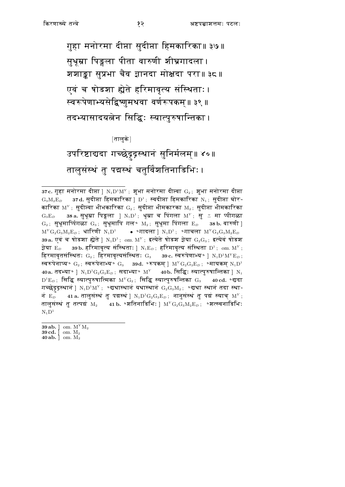गुहा मनोरमा दीप्ता सुदीप्<mark>ता</mark> हिमकारिका॥ ३७॥ सुधूम्रा पिङ्गला पीता वारुणी शीघ्रगादला। शशाङ्का सूप्रभा चैव ज्ञानदा मोक्षदा परा॥३८॥ एवं च षोडशा ह्येते हरिमावृत्य संस्थिताः। स्वरूपेणाभ्यसेद्विष्णुमथवा वर्णरूपकम्॥ ३९ ॥ तदभ्यासादयत्नेन सिद्धिः स्यात्पुरुषान्तिका ।

∣तालुके ∣ उपरिष्टाद्यदा गच्छेदृद्रस्थानं सुनिर्मलम्॥ ४०॥ तालुसंस्थं तु पद्मस्थं चतुर्विंशतिनाडिभिः ।

<sup>37</sup>c. गुहा मनोरमा दीप्ता ]  $N_1D^1M^Y$ ; शुभा मनोरमा दीप्त्वा  $G_2$ ; शुभा मनोरमा दीप्ता  $G_3M_2E_D$  37d. सूदीप्ता हिमकारिका |  $D^1$ ; स्वदीप्ता हिमकारिका  $N_1$ ; सूदीप्ता घोर-कारिका  $M^Y$ ; सुदीप्त्वा भीभकारिका  $G_2$ ; सुदीप्ता भीमकारका  $M_2$ ; सुदीप्ता भीमकारिका 38 a. सुधूम्रा पिङ्गला ]  $N_1D^1$ ; धूम्रा च पिंगला  $M^Y$ ; सु  $\cong$  मा प्पीगळा  $\mathrm{G}_3\mathrm{E}_D$  $\rm G_2$ ; स़ुधूमार्ष्पिगळा  $\rm G_3$ ; सुधूमापि गल॰ M2; सुधूमा पिंगला  $\rm E_{\it D}$  38b. वारुणी ]  $M^YG_2G_3M_2E_D$ ; धारिणी  $N_1D^1$  • • गादला |  $N_1D^1$ ; •गाचला  $M^YG_2G_3M_2E_D$ 39a. एवं च षोडशा ह्येते ]  $N_1D^1$ ; om.  $M^Y$ ; इत्येते षोडश ज्ञेया  $G_2G_3$ ; इत्येवं षोडश 39 b. हरिमावृत्य संस्थिताः ]  $N_1E_D$ ; हरिमावृत्य संस्थिता  $D^1$ ; om.  $M^Y$ ; जेया  $E_D$ हिरमावृतसंस्थितः  $G_2$ ; हिरमावृत्यसंस्थितः  $G_3$  39c. स्वरूपेणाभ्य॰ ]  $N_1D^1M^YE_D$ ; स्वरूपेनाप्य॰  $G_2$ ; स्वरूपेनाभ्य॰  $G_3$  39d. ॰रूपकम |  $M^YG_2G_3E_D$ ; ॰मायकम  $N_1D^1$ 40a. तदभ्या॰ |  $\rm N_1D^1G_2G_3E_D$ ; सदाभ्या॰  $\rm M^Y=$  40b. सिद्धिः स्यात्पुरुषान्तिका |  $\rm N_1$  $\rm{D^{1}E_{\it{D}}}$ ; सिद्धि स्यात्पुरुषात्मिका  $\rm{M^{Y}G_{2}}$ ; सिद्धि स्यात्पुरुषन्तिका  $\rm{G_{3}}$ 40 cd. °द्यदा गच्छेद्रद्रस्थानं |  $N_1D^1M^Y$ ; ॰दाथास्थानं यथास्थानं  $G_2G_3M_2$ ; ॰दाथा स्थानं तदा स्था-नं $E_D$ 41 a. तालुसंस्थं तु पद्मस्थं ]  $\mathrm{N}_1\mathrm{D}^1\mathrm{G}_2\mathrm{G}_3\mathrm{E}_D\,,$  नानुसंस्थं तु पद्मं स्याच्  $\mathrm{M}^{\mathrm{Y}}\,,$ तालुसंस्थं तु तत्पद्मं  $M_2$  41 b. °शतिनाडिभिः |  $M^Y G_2 G_3 M_2 E_D$ ; °शत्स्वनाडिभिः  $N_1D^1$ 

<sup>39</sup> ab. ] om.  $M^{Y}M_{2}$ 39 cd.  $\int$  om.  $M_2$ 40 ab.  $\vert$  om.  $M_2$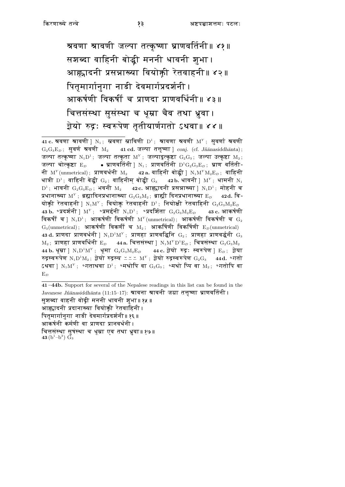श्रवणा श्रावणी जल्पा तत्कृष्णा घ्राणवर्तिनी॥ ४१॥ सशब्दा वाहिनी बोद्धी मननी धावनी शुभा। आह्नादनी प्रसन्नाख्या वियोक्ती रेतवाहनी॥ ४२॥ पितृमार्गानुगा नाडी देवमार्गप्रदर्शनी । आकर्षणी विकर्षी च प्राणदा प्राणवर्धिनी॥ ४३॥ चित्तसंस्था सुसंस्था च धूम्रा चैव तथा ध्रुवा। ज़ेयो रुद्रः स्वरूपेण तृतीयार्णगतो ऽथवा॥४४॥

41-44b. Support for several of the Nepalese readings in this list can be found in the Javanese *Jñānasiddhānta* (11:15–17): **श्रावना श्रावनी जग्रा तत्तृष्णा घ्राणव**र्तिनी । सुशब्दा वाहनी वोढ़ी मननी धावनी शुभा॥ १५ ॥ आह्वादनी प्रदानाख्या वियोक्ती रेतवाहिनी। पितुमार्गानुगा नाडी देवमार्गप्रदर्शनी॥ १६ ॥ आकर्षनी कर्मणी वा प्राणदा प्रानवर्धनी । चित्तसंस्था सुषंस्था च धूम्रा एव तथा ध्रुवा॥१७॥ 43 (b<sup>1</sup>-b<sup>3</sup>)  $\check{G}_3$ 

<sup>41</sup> c. श्रवणा श्रावणी |  $N_1$ ; स्रवणा स्राविणी  $D^1$ ; श्रावणा श्रवणी  $M^Y$ ; सूवर्णा श्रवणी  $G_2G_3E_D$ ; सुवर्ण श्रवणी M<sub>2</sub> 41 cd. जल्पा तत्तृष्णा | conj. (cf. Jñanasiddhanta); जल्पा तत्कृष्णा  $N_1D^1$ ; जल्पा तत्कृता  $M^Y$ ; जल्पादुत्कृष्टा  $G_2G_3$ ; जल्पा उत्कृष्टा  $M_2$ ;  $\bullet$  घ्राणवर्तिनी |  $\mathrm{N_1};\;$  प्राणवर्तिनी  $\mathrm{D^1G_2G_3E}_D;\;$  घ्राण वर्तिती-जल्पा चोत्कृष्टा  $\mathrm{E}_{\scriptscriptstyle{D}}$ नी  $\text{M}^{\text{Y}}\text{(unmetrical)}$ ; प्राणवर्धनी  $\text{M}_2$ 42 a. वाहिनी बोद्धी |  $\text{N}_1\text{M}^Y\text{M}_2\text{E}_D\,;\,$  वाहिनी धात्री  $D^1$ ; वाहिनी बेद्धी  $G_2$ ; वाहिनीम बोद्धी  $G_3 = 42b$ . धावनी |  $M^Y$ ; धामनी  $N_1$  $D^1$ ; भावनी  $G_2G_3E_D$ ; भवनी  $M_2$  42c. आह्लादनी प्रसन्नाख्या |  $N_1D^1$ ; मोहनी च प्रधानाख्या  $\mathrm{M}^\mathrm{y}$ ; ब्रह्मादिनप्रधानाख्या  $\mathrm{G}_2\mathrm{G}_3\mathrm{M}_2$ ; ब्राह्मी दिनप्रधानाख्या  $\mathrm{E}_D$ 42d. वि-योक्ती रेतवाहनी ]  $N_1M^Y$ ; वियोक्त रेतवाहनी  $D^1$ ; नियोक्षी रेतवाहिनी  $G_2G_3M_2E_D$ 43 b. ॰प्रदर्शनी ]  $\mathrm{M}^\mathrm{Y}$ ; ॰प्रमर्द्दनी  $\mathrm{N}_1\mathrm{D}^1$ ; ॰प्रदर्शिता  $\mathrm{G}_2\mathrm{G}_3\mathrm{M}_2\mathrm{E}_D$ 43 c. आकर्षणी विकर्षी च |  $N_1D^1$ ; आकर्षणी विकर्षणी  $M^Y(\text{unmetrical})$ ; आकर्षणी विकर्षणी च  $G_2$  $G_3$ (unmetrical); आकर्षणी विकर्णी च  $M_2$ ; आकर्षिणी विकर्षिणी  $E_D$ (unmetrical) 43 d. प्राणदा प्राणवर्धनी |  $N_1D^1M^Y$ ; प्राणहा प्राणवद्धिनि  $G_2$ ; प्राणहा प्राणवर्द्धनी  $G_3$  $M_2$ ; प्राणहा प्राणवर्धिनी  $E_D$  44a. चित्तसंस्था ]  $N_1M^YD^1E_D$ ; चित्रसंस्था  $G_2G_3M_2$ 44 b. धृम्रा |  $N_1D^1M^Y$ ; धृमा  $G_2G_3M_2E_D$  44 c. ज़ेयो रुद्र: स्वरूपेण |  $E_D$ ; ज़ेया रुद्रस्वरूपेण  $N_1D^1M_2$ ; ज्ञेयो रुद्रस्य  $\cong \cong M^Y$ ; ज्ञेयो रुद्रस्वरूपेण  $G_2G_3 = 44d$ . °गतो ऽथवा |  $N_1M^Y$ ; ॰गताथवा  $D^1$ ; ॰मथोपि वा  $G_2G_3$ ; ॰मथो प्पि वा  $M_2$ ; ॰गतोपि वा  $E_D$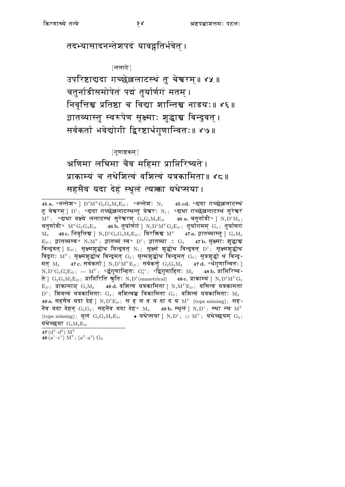तदभ्यासादनन्तेशपदं यावद्गतिर्भवेत् ।

[ललाटे]

उपरिष्टाद्यदा गच्छेल्ललाटस्थं तु चेश्वरम्॥ ४५ ॥ चतुर्नाडीसमोपेतं पद्मं तुर्यार्णगं मतम् । निवृत्तिश्च प्रतिष्ठा च विद्या शान्तिश्च नाडयः॥ ४६॥ ज्ञातव्यास्तु स्वरूपेण सूक्ष्माः शुद्धाञ्च बिन्दुवत् । सर्वकर्ता भवेद्योगी द्विरष्टार्धगुणान्वितः॥ ४७॥

[गुणाष्टकम्]

अणिमा लघिमा चैव महिमा प्राप्तिरिष्यते । प्राकाम्यं च तथेशित्वं वशित्वं यत्रकामिता॥ ४८॥ सहसैव यदा देह स्थूल त्यत्का यथेप्सया।

45 cd. ॰दादा गच्छेल्ललाटस्थं तु चेश्वरम् ]  $\mathrm{D}^1$ ; ॰द्यदा गच्छेल्ललाटस्थन्तु चेश्वरः  $\mathrm{N}_1$ ; ॰द्यथा गच्छेल्ललाटस्थं सुरेश्वरं  $M^Y$ ; ॰द्यथा वक्ष्ये ललाटस्थं सूरेश्वरम्  $G_2G_3M_2E_D$  46 a. चतुर्नाडी॰ |  $N_1D^1M_2$ ; चतुर्णाडी॰  $M^YG_2G_3E_D$  46 b. तुर्यार्णगं ]  $N_1D^1M^YG_2E_D$ ; तुर्यागमम्  $G_3$ ; तुर्याणगं  $M_2$  46c. निवृत्तिश्च |  $N_1D^1G_2G_3M_2E_D$ ; विरक्तिश्च  $M^Y$  47a. ज्ञातव्यास्तु |  $G_3M_2$  $E_D$ ; ज्ञातव्यस्व॰ N<sub>1</sub>M<sup>Y</sup>; ज्ञातव्यं स्व॰ D<sup>1</sup>; ज्ञातव्या  $\leq G_2$  47b. सृक्ष्माः शुद्धाश्च बिन्दुवत् ]  $E_D$ ; सूक्ष्मशुद्धोथ विन्दुवत् N<sub>1</sub>; सूक्ष्मं शुद्धोथ विन्दुवत् D<sup>1</sup>; सूक्ष्मशुद्धोथ बिंदुगः M'; सूक्ष्मशुद्धोथ बिन्दुमत G2; सूत्मशुद्धोथ बिन्दुमत G3; सूत्रशुद्धो थ बिन्दु-47 c. सर्वकर्ता |  $N_1D^1M^VE_D$ ; सर्वकर्त्तु $G_2G_3M_2$  47 d. ॰र्धगुणान्वितः | मत $M_2$  $N_1D^1G_2G_3^cE_D$ ; ---  $M^Y$ ; ॰र्द्धगुणान्हितः  $G_3^{ac}$ ; ॰द्विगुणाहितः  $M_2$  48b. प्राप्तिरिष्य-ते ]  $G_2G_3M_2E_D$ ; प्राप्तिरिति श्रुतिः  $N_1D^1$ (unmetrical) 48 c. प्राकाम्यं ]  $N_1D^1M^YG_3$  $E_D$ ; प्राकामाञ्  $G_2M_2$  48 d. वशित्वं यत्रकामिता |  $N_1M^YE_D$ ; वसित्वं यत्रकामता  $D^1$ ; शिवत्वं यत्रकामिताः  $G_2$ ; वशित्वञ्च त्रिकामिता  $G_3$ ; वशित्वं यत्रकामिताः  $M_2$ 49 a. सहसैव यदा देहं ]  $N_1D^1E_D$ ; स ह स व य दा द य  $M^Y$  (tops missing); सह-नैव यदा देहन  $\mathrm{G}_2\mathrm{G}_3\,;\,$  सहनैव यदा देह॰  $\mathrm{M}_2$ 49 b. स्थूलं |  $\mathrm{N}_1\mathrm{D}^1\,;\;$  स्था ल्य $\mathrm{M}^Y$ (tops missing); मूलं  $G_2G_3M_2E_D$  • यथेप्सया |  $N_1D^1$ ;  $\sqcup$   $M^Y$ ; यथेच्छयम्  $G_2$ ; यथेच्छया  $G_3M_2E_D$ 

 $47(d^3-d^8)$  M<sup>Y</sup>

48  $(a^1-c^1)$   $M^Y$ ;  $(a^3-a^4)$   $G_2$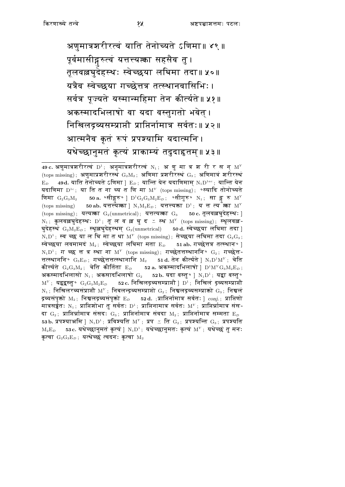अणुमात्रशरीरत्वं याति तेनोच्यते ऽणिमा॥ ४९॥ पूर्वमासीद्गरुत्वं यत्तत्त्यत्का सहसैव तु । तूलवल्लघुदेहस्थः स्वेच्छया लघिमा तदा॥ ५०॥ यत्रैव स्वेच्छया गच्छेत्तत्र तत्स्थानवासिभिः। सर्वत्र पूज्यते यस्मान्महिमा तेन कीर्त्यते॥ ५१॥ अकस्मादभिलाषो वा यदा वस्तुगतो भवेत् । निखिलद्रव्यसम्प्राप्तौ प्राप्तिर्नामात्र सर्वतः॥ ५२॥ आत्मनैव कृतं रूपं प्रपश्यामि यदात्मनि । यथेच्छानुमतं कृत्यं प्राकाम्यं तदुदाहृतम्॥ ५३॥

49 c. अणुमात्रशरीरत्वं D<sup>1</sup>; अनुमात्रशरीरत्वं N<sub>1</sub>; अ णु मा त्र श री र स न् M<sup>Y</sup>  $(\text{tops missing})$ ; अणुमाप्रशरीरस्थं  $\mathrm{G}_2\mathrm{M}_2$ ; अणिमा प्रशरीरस्थं  $\mathrm{G}_3$ ; अणिमात्रं शरीरस्थं 49d. याति तेनोच्यते ऽणिमा |  $\mathrm{E}_D$ : यान्ति येन यदाणिमाम  $\mathrm{N}_1\mathrm{D}^{\mathrm{1ac}}$ : यान्ति येन  $E_D$ यदाणिमा  $D^{1c}$ ; या ति त ना च्य त णि मा  $M^Y$  (tops missing); ॰स्यादि तोनोच्यते 50 a. ॰सीङ्गरु॰ ]  $D^1G_2G_3M_2E_D$ ; ॰सीगुरु॰  $N_1$ ; सा ङ्ग रु  $M^Y$ णिमा $_{\rm G_2G_3M_2}$ (tops missing) 50 ab. यत्तत्त्यक्ता |  $N_1M_2E_D$ ; यत्तत्त्यक्ता  $D^1$ ; य त त्य क्ता  $M^Y$ (tops missing); यत्यक्ता  $G_2$ (unmetrical); यत्तत्यक्ता  $G_3$  50 c. तूलवल्लघुदेहस्थ: ] N<sub>1</sub>; कुलवल्लघुदेहस्थ: D<sup>1</sup>; तूल व ल्ल घुद = स्थ M<sup>Y</sup> (tops missing); स्थूलवल्ल-घुदेहस्थं  $\mathrm{G}_{2}\mathrm{M}_{2}\mathrm{E}_{D}$ ; स्थूल्लघुदेहस्थम्  $\mathrm{G}_{3}(\mathrm{unmetrical})$  50d. स्वेच्छया लघिमा तदा ]  $N_1D^1$ ; स्व च्छ या ल घि मा त था  $M^Y$  (tops missing); सेच्छया लघिमा तदा  $G_2G_3$ ; स्वेच्छया लवमामदं  $M_2$ : स्वेच्छया लघिमा मता  $E_D$  51 ab. गच्छेत्तत्र तत्स्थान॰ ।  $N_1D^1$ ; गच्छ त त्र स्था ना  $M^Y$  (tops missing); गच्छेतत्तस्थाननि°  $G_2$ ; गच्छेत्त-त्तत्स्थाननि॰  $\mathrm{G}_3\mathrm{E}_D$ ; गच्छेत्तत्तत्स्थानानि  $\mathrm{M}_2$  51d. तेन कीर्त्यते ]  $\mathrm{N}_1\mathrm{D}^1\mathrm{M}^Y$ ; चेति कीर्त्यते  $\rm G_2G_3M_2$ ; चेति कीर्तिता  $\rm E_{\it D}$  52a. अकस्मादभिलाषो |  $\rm D^1M^YG_3M_2E_{\it D}$ ; अकस्मादभिलासो  $N_1$ ; अकसादभिलाषो  $G_2$  52b. यदा वस्तु॰ |  $N_1D^1$ ; यद्वा वस्तु॰  $M^Y$ ; यद्वद्वस्तु॰  $G_2G_3M_2E_D$  52 c. निखिलद्रव्यसम्प्राप्तौ |  $D^1$ ; निखिलं द्रव्यसम्प्राप्तौ  $N_1$ ; निखिलरव्यसंप्राप्तौ  $M^Y$ ; निबलन्द्रव्यसम्प्राप्तो  $G_2$ ; निश्चलद्रव्यसम्प्राक्तो  $G_3$ ; निश्चलं द्रव्यसंपृक्तो  $\mathrm{M}_2\!$ ; निश्चलद्रव्यसंपृक्तो  $\mathrm{E}_D$  52 $\,\mathbf{d}_\cdot\,$ ;प्राप्तिर्नामात्र सर्वतः |  $\mathit{conj.}\,$ ; प्राप्तिणो मात्रसर्वृतः N<sub>1</sub>; प्राप्तिशोभा तु सर्वतः D<sup>1</sup>; प्राप्तिनामात्र सर्वतः M<sup>Y</sup>; प्राप्तिर्न्नामात्र संस-दा  $\mathrm{G}_2$ ; प्राप्तिर्त्रामात्र संसदः  $\mathrm{G}_3$ ; प्राप्तिर्नामात्र संवदा  $\mathrm{M}_2$ ; प्राप्तिर्नामात्र सम्मता  $\mathrm{E}_D$ 53 b. प्रपश्याअमि ]  $N_1D^1$ ; प्रविश्यति  $M^Y$ ; प्रप $\simeq$  ति  $G_2$ ; प्रपश्यन्ति  $G_3$ ; प्रपश्यति 53c. यथेच्छानुमतं कृत्यं |  $N_1D^1$ ; यथेच्छानुमतः कृत्यं M'; यथेच्छं तु मनः  $M_2E_D$ कृत्वा  $\mathrm{G}_2\mathrm{G}_3\mathrm{E}_D$ ; यत्थेच्छं त्वदनः कृत्वा  $\mathrm{M}_2$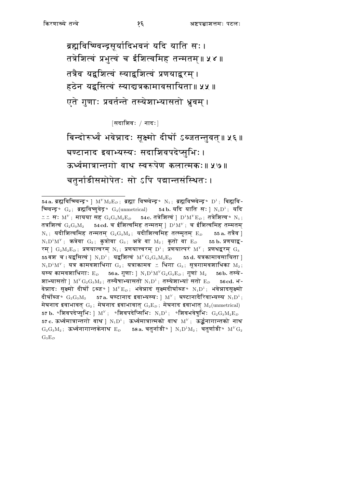ब्रह्मविष्ण्वन्द्रसूर्यादिभवनं यदि याति सः। तत्रेशित्वं प्रभुत्वं च ईशित्वमिह तन्मतम्॥ ५४॥ तत्रैव यद्वशित्वं स्याद्वशित्वं प्रणयाद्वरम् । हठेन यद्वसित्वं स्याद्यत्रकामावसायिता॥ ५५ ॥ एते गुणाः प्रवर्तन्ते तस्येशाभ्यासतो ध्रुवम् ।

[सदाशिवः / नादः]

बिन्दोरूर्थ्वं भवेन्नादः सूक्ष्मो दीर्घो ऽब्जतन्तुवत्॥ ५६॥ घण्टानाद इवाभ्यस्यः सदाशिवपदेप्सभिः। ऊर्ध्वमात्रान्तगो वाथ स्वरूपेण कलात्मकः॥ ५७॥ चतुर्नाडीसमोपेतः सो ऽपि पद्मान्तसंस्थितः।

<sup>54</sup> a. ब्रह्मविष्ण्वन्द्र॰ |  $M^{Y}M_{2}E_{D}$ ; ब्रह्मा विष्ण्वेन्द्र॰  $N_{1}$ ; ब्रह्मविष्ण्वेन्द्र॰  $D^{1}$ ; बिह्मवि-ष्ण्वन्द्र॰  $G_2$ ; ब्रह्मविष्णुवेद्र॰  $G_3$ (unmetrical) 54b. यदि याति सः ]  $N_1D^1$ ; यदि  $\cong$   $\cong$  स $:$   $\mathrm{M}^Y$ ; मायया सह  $\mathrm{G}_2\mathrm{G}_3\mathrm{M}_2\mathrm{E}_D$  $\,$  54 ${\bf c}.$  तत्रेशित्वं |  ${\rm D}^{1}{\rm M}^Y{\rm E}_D\, ;\,$  तत्रेशित्व $\, \circ \,$   ${\rm N}_1\, ;\,$ तत्रशित्वं  $\mathrm{G}_2\mathrm{G}_3\mathrm{M}_2$  54cd. च ईशित्वमिह तन्मतम् |  $\mathrm{D}^1\mathrm{M}^{\mathrm{Y}}$ ; च ईशित्वमिह तम्मतम्  $\rm N_1$ ; यदीशित्वमिह तन्मतम्  $\rm G_2G_3M_2$ ; यदीशित्वमिह तत्स्मृतम  $\rm E_{\rm \scriptscriptstyle D}$ 55 a. तत्रैव |  $N_1D^1M^Y$ ; कन्नेवा  $G_2$ ; कुन्नोवा  $G_3$ ; अन्ने वा  $M_2$ ; कुतो वा  $E_D$ 55 b. प्रणयाद्व-रम् ]  $G_2M_2E_D$ ; प्रणयात्वरम्  $N_1$ ; प्रणयात्त्वरम्  $D^1$ ; प्रणयात्परं  $M^Y$ ; प्रणथद्वरम्  $G_3$ 55 बश $\pi$  च । यद्वसित्वं |  $\mathrm{N}_1\mathrm{D}^1\,;\,\,\,$ यद्वशित्वं  $\mathrm{M}^Y\mathrm{G}_2\mathrm{G}_3\mathrm{M}_2\mathrm{E}_D$ 55 d. यत्रकामावसायिता |  $N_1D^1M^Y$ ; यत्र कामवशाधिगा  $G_2$ ; यत्राकामव  $\leq$  धिगा  $G_3$ ; सूत्रगामवशाधिका  $M_2$ ; यस्य कामवशाधिगाः  $E_D$  56a. गुणाः |  $N_1D^1M^YG_2G_3E_D$ ; गुणां  $M_2$  56b. तस्ये-शाभ्यासतो ]  $M^Y G_2 G_3 M_2$ ; तस्यैषाभ्यासतो  $N_1 D^1$ ; तस्येशाभ्यां सतो  $E_D$  56cd. भ-वेन्नादः सूक्ष्मो दीर्घो ऽब्ज॰ ]  $\text{M}^{\text{y}}\text{E}_D$ ; भवेन्नादं सूक्ष्मदीर्घाब्ज॰  $\text{N}_1\text{D}^1$ ; भवेन्नादसूक्ष्मो दीर्घोब्ज॰  $\rm{G}_2\rm{G}_3\rm{M}_2$  57a. घण्टानाद इवाभ्यस्यः ]  $\rm{M}^{\rm{y}}$ ; घण्टानादैरिवाभ्यस्य  $\rm{N}_1\rm{D}^1$ ; मेघनाद इवाभावत्  $\mathrm{G}_2$ ; मेघनाद इवाभावात्  $\mathrm{G}_3\mathrm{E}_D$ ; मेघनाद इवाभात्  $\mathrm{M}_2(\mathrm{unmetrical})$ 57 b.  $\circ$ शिवपदेप्सुभिः | M';  $\circ$ शिवपदेप्सिभिः N<sub>1</sub>D<sup>1</sup>;  $\circ$ शिवभवेषुभिः G<sub>2</sub>G<sub>3</sub>M<sub>2</sub>E<sub>D</sub> 57 c. ऊर्ध्वमात्रान्तगो वाथ |  $N_1D^1$ ; ऊर्ध्वमात्रात्मको वाथ  $M^Y$ ; ऊर्द्वनागान्तको नाथ  $G_2G_3M_2$ ; ऊर्ध्वनागान्तकेनाथ  $E_D$  58a. चतुर्नाडी॰ |  $N_1D^1M_2$ ; चतुर्णाडी॰  $M^YG_2$  $G_3E_D$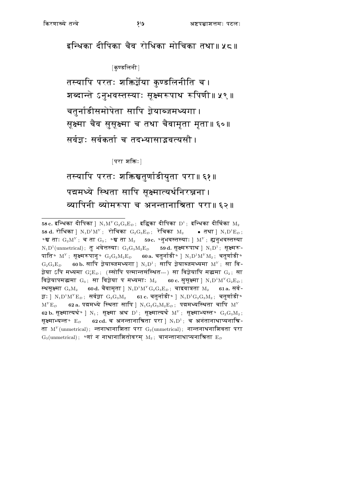इन्धिका दीपिका चैव रोधिका मोचिका तथा॥ ५८॥

[कुण्डलिनी]

तस्यापि परतः शक्तिर्ज्ञेया कुण्डलिनीति च । शब्दान्ते ऽनुभवस्तस्याः सूक्ष्मरूपाथ रूपिणी॥ ५९॥ चतुर्नाडीसमोपेता सापि ज्ञेयाब्जमध्यगा । सूक्ष्मा चैव सुसूक्ष्मा च तथा चैवामृता मृता॥६०॥ सर्वज्ञः सर्वकर्ता च तदभ्यासाइवत्यसौ ।

[परा शक्तिः]

तस्यापि परतः शक्तिश्चतुर्णाडीयुता परा॥ ६१॥ पद्ममध्ये स्थिता सापि सूक्ष्मात्यर्थनिरञ्जना। व्यापिनी व्योमरूपा च अनन्तानाश्रिता परा॥६२॥

<sup>58</sup> c. इन्धिका दीपिका ]  $N_1M^YG_2G_3E_D$ ; इद्धिका दीपिका  $D^1$ ; इन्धिका दीर्घिका  $M_2$ 58 d. रोधिका | N<sub>1</sub>D<sup>1</sup>M<sup>Y</sup>; रोचिका G<sub>2</sub>G<sub>3</sub>E<sub>D</sub>; रेचिका M<sub>2</sub> ● तथा | N<sub>1</sub>D<sup>1</sup>E<sub>D</sub>;  $\bullet$ श्व ताः  $\mathrm{G}_2\mathrm{M}^Y$ ; च ता  $\mathrm{G}_3$ ;  $\bullet$ श्व ता  $\mathrm{M}_2$  59 $\mathrm{c.}$   $\bullet$ नुभवस्तस्याः ]  $\mathrm{M}^Y$ ; ह्यनुभवस्तस्या  $N_1D^1$ (unmetrical); तु भवेत्तस्याः  $G_2G_3M_2E_D$  59d. सूक्ष्मरूपाथ |  $N_1D^1$ ; सूक्ष्मरू-पाति॰  $M^Y$ ; सूक्ष्मरूपानु॰  $G_2G_3M_2E_D$  60a. चतुर्नाडी॰ ]  $N_1D^1M^YM_2$ ; चतुर्णाडी॰  $G_2G_3E_D$  60b. सापि ज़ेयाब्जमध्यगा |  $N_1D^1$ ; सापि ज़ेयाब्जमध्यमा  $M^Y$ ; सा वि-ज्ञेया ऽपि मध्यमा  $\mathrm{G}_2^\circ \mathrm{E}_D$ ; (स्सोपि पत्मान्तसंस्थित---) सा विज्ञेयापि मद्यमा  $\mathrm{G}_2$ ; सा विज्ञेयापमद्धमा  $G_3$ ; सा विज्ञेया प मध्यमाः M<sub>2</sub> 60 c. सुसूक्ष्मा |  $N_1D^1M^YG_2E_D$ ; स्थसक्ष्मा  $\rm{G}_3M_2$  60d. चैवामता |  $\rm{N}_1D^1M^Y\rm{G}_2\rm{G}_3E_p$ ; चाइवात्रता  $\rm{M}_2$ 61 a. सर्व-ज्ञः |  $N_1D^1M^YE_D$ ; सर्वज्ञा  $G_2G_3M_2$  61 c. चतुर्नाडी॰ |  $N_1D^1G_2G_3M_2$ ; चतुर्णाडी॰  $M^{Y}E_{D}$  62 a. पद्ममध्ये स्थिता सापि |  $N_{1}G_{2}G_{3}M_{2}E_{D}$ ; पद्ममध्यस्थिता चापि  $M^{Y}$ 62 b. सूक्ष्मात्यर्थ° | N<sub>1</sub>; सूक्ष्मा अथ D<sup>1</sup>; सूक्ष्मात्यर्थं M<sup>Y</sup>; सूक्ष्माभ्यस्त° G<sub>2</sub>G<sub>3</sub>M<sub>2</sub>; सक्ष्माभ्यन्त॰  $E_D$  62 cd. च अनन्तानाश्रिता परा |  $N_1D^1$ ; च अनंतानाथाप्यनाश्रि-ता  $M<sup>Y</sup>$ (unmetrical); न्तनाथानाशिता परा  $G_2$ (unmetrical); नान्तनाथनाशिवता परा  $\rm\,G_3(unmetrical)$ ; ॰णां न नाथानाशितोवरम्  $\rm\,M_2$ ; चानन्तानाथाप्यनाश्रिता  $\rm\,E_{\it D}$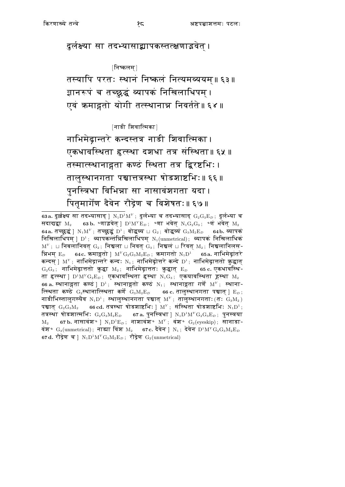दुर्लक्ष्या सा तदभ्यासाद्व्यापकस्तत्क्षणाड्मवेत ।

[निष्कलम्]

तस्यापि परतः स्थानं निष्कलं नित्यमव्ययम॥ ६३॥ ज्ञानरूपं च तच्छ्रद्धं व्यापकं निखिलाधिपम्। एवं क्रमाद्गतो योगी तत्स्थानान्न निवर्तते॥६४॥

 $[$ नाडी शिवात्मिका $]$ 

नाभिमेढ़ान्तरे कन्दस्तत्र नाडी शिवात्मिका । एकधावस्थिता हृत्स्था दशधा तत्र संस्थिता॥६५॥ तस्मात्स्थानाद्गता कण्ठं स्थिता तत्र द्विरष्टभिः । तालुस्थानगता पश्चात्तत्रस्था षोडशाष्टभिः॥ ६६॥ पुनस्त्रिधा विभिन्ना सा नासावंशगता यदा। पितृमार्गेण दैवेन रौद्रेण च विशेषतः॥ ६७॥

<sup>63</sup>a. दुर्ल्लक्ष्य सा तदभ्यासाद् ]  $N_1D^1M^Y$ ; दुर्लभ्या च तदभ्यासाद्  $G_2G_3E_D$ ; दुर्लभ्या च सदाद्यद्वा  $M_2$  63 b.  $\circ$ णाइवेत् ]  $D^1M^VE_D$ ;  $\circ$ णा भवेत्  $N_1G_2G_3$ ;  $\circ$ णं भवेत्  $M_2$ 64a. तच्छुद्धं |  $N_1M^Y$ ; तच्छुद्धं D<sup>1</sup>; बोद्धव्य  $\sqcup$  G<sub>2</sub>; बोद्धव्य G<sub>3</sub>M<sub>2</sub>E<sub>D</sub> 64b. व्यापक निखिलाधिपम् ]  $D^1$ ; व्यापकन्तंन्निखिलाधिपम्  $N_1(\text{unmetrical})$ ; व्यापकं निखिलाधिकं  $\mathrm{M}^{\mathrm{y}}$  ;  $\sqcup$  निबलानिवत्  $\mathrm{G}_2$ ; निश्चला  $\sqcup$  निवत्  $\mathrm{G}_3$ ; निश्चलं  $\sqcup$  रिवत्  $\mathrm{M}_2$ ; निश्चलानिलस-न्निभम्  $\rm E_{\it D}$  64 $\rm \bm{c}$ . कमाङ्गतो ]  $\rm M^{\it Y}G_{2}G_{3}M_{2}E_{\it D}$ ; कमागतो  $\rm N_{1}D^{1}$  65 $\rm \bm{a}$ . नाभिमेढूांतरे कन्दस् ]  $\mathrm{M}^{\text{y}}$ ; नाभिमेद्रान्तरे कन्दः  $\mathrm{N}_1$ ; नाभिमेद्रोत्तरे कन्दे  $\mathrm{D}^1$ ; नाभिमेद्रात्ततो क्रुद्धात्  $G_2G_3$ ; नाभिमेढ़ात्ततो क़ुद्धा  $M_2$ ; नाभिमेढ़ात्ततः क़ुद्धात  $E_D$ 65 c. एकधावस्थि-ता हत्स्था ]  $D^1M^YG_2E_D$ ; एकधावस्थिता हस्था  $N_1G_3$ ; एकयावस्थिता हस्था  $M_2$ 66 a. स्थानाद्गता कण्ठं ]  $D^1$ ; स्थानाद्गतो कण्ठं N<sub>1</sub>; स्थानाद्गता गर्णे M<sup>Y</sup>; स्थाना-त्स्थिता कण्ठे  $\mathrm{G}_2$ स्थानात्स्थिता कर्णे  $\mathrm{G}_3\mathrm{M}_2\mathrm{E}_D$ 66 c. तालुस्थानगता पश्चात् ]  $\rm\,E_{\it D}$  ; नाडीभिस्तालुगस्यैव  $N_1D^1$ ; स्थालुस्थानगता पञ्चात्  $M^Y$ ; तालुस्थानगताः $(G: G_3M_2)$ पञ्चात  $G_2G_3M_2$  66 cd. तत्रस्था षोडशाष्टभिः | M<sup>Y</sup>; संस्थिता षोडशाष्टभिः N<sub>1</sub>D<sup>1</sup>; 67 a. पुनस्त्रिधा ]  $\rm N_1D^1M^YG_2G_3E_D\,;\,$  पुनस्त्रया तत्रस्था षोडशात्मभिः  $\rm{G}_2\rm{G}_3\rm{M}_2\rm{E}_D$ 67 b. नासावंश $\circ$ ] N<sub>1</sub>D<sup>1</sup>E<sub>D</sub>; नाशावंश $\circ$  M<sup>Y</sup>; वंश $\circ$  G<sub>2</sub>(eyeskip); सानाडा- $M_2$ वंश°  $\rm G_3(unmetrical)$ ; नाड्या विंश  $\rm M_2$  67c. दैवेन ]  $\rm N_1$ ; देवेन  $\rm D^1M^Y\rm G_2G_3M_2E_D$ 67d. रौद्रेण च |  $N_1D^1M^YG_3M_2E_D$ ; रौद्रेण  $G_2$ (unmetrical)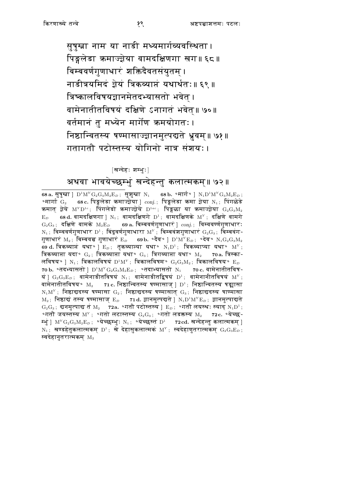सुषुम्ना नाम या नाडी मध्यमार्गव्यवस्थिता। पिङ्गलेडा क्रमाज्ज्ञेया वामदक्षिणगा खग॥ ६८॥ बिम्बवर्णगुणाधारं शक्तिदैवतसंयुतम् । नाडीत्रयमिदं ज्ञेयं त्रिकव्याप्तं यथार्थतः॥ ६९॥ त्रिष्कालविषयज्ञानमेतदभ्यासतो भवेत् । वामेनातीतविषयं दक्षिणे ऽनागतं भवेत्॥ ७०॥ वर्तमानं तू मध्येन मार्गेण क्रमयोगतः । निष्ठान्वितस्य षण्मासाज्ज्ञानमुत्पद्यते ध्रुवम॥ ७१॥ गतागतौ पटोस्तस्य योगिनो नात्र संशयः।

#### [खन्देहः शम्भुः]

### अथवा भावयेच्छम्भुं खन्देहन्तु कलात्मकम्॥ ७२॥

68 a. सुषुम्ना ]  $D^1M^YG_2G_3M_2E_D$ ; सुशुम्ना N<sub>1</sub> 68 b. °मार्ग ° ] N<sub>1</sub> $D^1M^YG_3M_2E_D$ ; 68 c. पिङ्गलेडा कमाज्ज़ेया ]  $conj.;$  पिङ्गलेडा कमा ज़ेया  $N_1;$  पिंगळेडे ॰मार्गा $\rm\ G_{2}$ कमात् ज़ेये  $M^Y D^{1c}$ ; पिंगलेडो कमाज्ज़ेये  $D^{1ac}$ ; पिङ्गळा या कमाज्ज़ेया  $G_2 G_3 M_2$ 68 d. वामदक्षिणगा ]  $N_1$ ; वामदक्षिणगे  $D^1$ ; वामदक्षिणके  $M^Y$ ; दक्षिणे वामगे  $\mathbf{E}_D$  $G_2G_3$ ; दक्षिणे वामके  $M_2E_D$  69 a. बिम्बवर्णगुणाधारं ]  $conj.$ ; विम्ववर्ण्णगुणाधारः  $N_1$ ; विम्ववर्णगुणाधार  $D^1$ ; बिंदुवर्णगुणाधारा  $M^Y$ ; बिम्बवंशगुणाधारं  $G_2G_3$ ; बिम्बवंग-गुणाधारं  $M_2$ ; बिम्बवच्च गुणाधारं  $E_D$  69b. ॰दैव॰ ]  $D^1M^YE_D$ ; ॰देव॰  $N_1G_2G_3M_2$ 69 d. त्रिकव्याप्तं यथा॰ ]  $E_D$ ; तृकव्याप्त्या यथा॰  $N_1D^1$ ; त्रिकव्याप्या यथा॰  $M^Y$ ; त्रिकव्याप्ता यदा॰  $\mathrm{G}_2$ ; त्रिकव्याप्ता यथा॰  $\mathrm{G}_3$ ; त्रिगव्याप्ता यथा॰  $\mathrm{M}_2$  70a. त्रिस्का-लविषय॰ ]  $N_1$ ; त्रिकालविषयं  $D^1M^Y$ ; त्रिकालविषम॰  $G_2G_3M_2$ ; त्रिकालविषय॰  $E_D$ 70 b. ॰तदभ्यासतो ]  ${\rm D}^1{\rm M}^Y{\rm G}_2{\rm G}_3{\rm M}_2{\rm E}_D\,;\;$  ॰तदाभ्यासतो  $\,{\rm N}_1\,$ 70 c. वामेनातीतविष-यं |  $\rm G_2G_3E_D$ ; वामेनाडीतविषयं  $\rm N_1$ ; वामेनाडीतद्विषयं  $\rm D^1$ ; वामेनानीतविषयं  $\rm M^Y$ ; वामेनातीतविषय॰  $\rm M_2$  71 с. निष्ठान्वितस्य षण्मासाज्  $\rm \mid D^1;$  निष्ठान्वितस्य षङ्मासा  $N_1M<sup>Y</sup>$ ; निष्ठाद्यदस्य षण्मासा  $G_2$ ; निष्ठाद्यदस्य षण्मासात्  $G_3$ ; निष्ठाद्यदस्य षाण्मासा  $M_2$ ; निष्ठाद्यं तस्य षण्मासाज् E<sub>D</sub> 71d. ज्ञानमुत्पद्यते ]  $N_1D^1M^YE_D$ ; ज्ञानमुत्पाद्यते  $G_2G_3$ ; द्यनमुत्पाद्य तं  $M_2$  72a. ॰गतौ पटोस्तस्य |  $E_D$ ; ॰गतौ लयस्थः स्याद्  $N_1D^1$ ; ०गतौ जयस्तस्य  $\mathrm{M}^{\mathrm{y}}$ ; ०गतो लटास्तस्य  $\mathrm{G}_2\mathrm{G}_3$ ; ०गतो लडक्तस्य  $\mathrm{M}_2$  72 $\mathrm{c}$ . ०येच्छ-म्मुं ]  $\mathrm{M}^Y\mathrm{G}_2\mathrm{G}_3\mathrm{M}_2\mathrm{E}_D$ ; ॰येच्छम्मु:  $\mathrm{N}_1$ ; ॰येच्छस्तं  $\mathrm{D}^1$  72 $\mathrm{cd}$ . सन्देहन्तु कलात्मकम् ] N<sub>1</sub>; खण्डहेतुकलात्मकम् D<sup>1</sup>; खे देहासुकलात्मकं M<sup>Y</sup>; स्वदेहाणुतरात्मकम्  $G_2G_3E_D$ ; स्वदेहानुतरात्मकम्  $\rm M_{2}$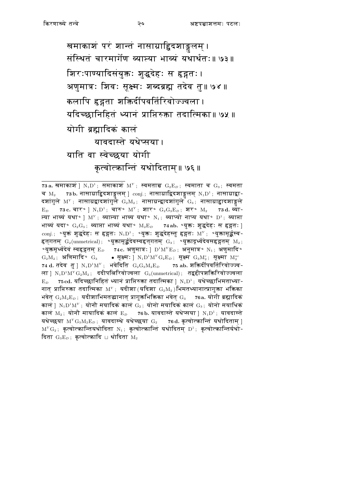खमाकाशं परं शान्तं नासाग्रा<mark>द्विदशाङ्ग</mark>लम् । संस्थितं चारमार्गेण व्यास्या भाव्यं यथार्थतः॥ ७३॥ शिरःपाण्यादिसंयुक्तः शुद्धदेहः स हृद्गतः। अणुमात्रः शिवः सूक्ष्मः शब्दब्रह्म तदेव तु॥ ७४॥ कलापि हृद्गता शक्तिर्दीपवर्तिरिवोज्ज्वला । यदिच्छानिहितं ध्यानं प्राप्तिरुक्ता तदात्मिका॥ ७५ ॥ योगी ब्रह्मादिक कालं यावदास्ते यथेप्सया। याति वा स्वेच्छया योगी कृत्वोत्क्रान्तिं यथोदिताम्॥ ७६॥

73 a. खमाकाशं ]  $N_1D^1$ ; समाकाशं  $M^Y$ ; स्वमताच $G_2E_D$ ; स्वमाता च  $G_3$ ; स्वमता 73b. नासाग्राद्विदशाङ्गलम् ]  $conj.$ ; नासाग्राद्विदशाङ्गलम्  $N_1D^1$ ; नासाग्राद्वा-च  $M_2$ दशांगुले  $\mathrm{M}^Y$ ; नासाग्रद्वादशांगुले  $\mathrm{G}_2\mathrm{M}_2$ ; नासाग्रन्द्वादशांगुले  $\mathrm{G}_3$ ; नासाग्राद्वादशाङ्गले 73 c. चार॰ ]  $N_1D^1$ ; चारु॰  $M^Y$ ; शार॰  $G_2G_3E_D$ ; शर॰  $M_2$  73 d. व्या- $E_D$ त्या भाव्यं यथा॰ ]  $M^Y$ ; व्यास्या भाव्य यथा॰ N<sub>1</sub>; व्याप्यो नाप्य यथा॰ D<sup>1</sup>; व्याप्ता भाव्यं यदा॰  $G_2G_3$ ; व्याप्ता भाव्यं यथा॰  $M_2E_D$  74ab. ॰युक्तः शुद्धदेहः स हृद्गतः |  $conj.$ ;  $^{o}$ युक्तं शुद्धदेह: स हृद्गत: N<sub>1</sub>D<sup>1</sup>;  $^{o}$ युक्त: शुद्धदेहस्तु हृद्गत: M<sup>Y</sup>;  $^{o}$ युक्तामूर्द्धस्व-हृत्गतम्  $G_2$ (unmetrical);  $\circ$ युक्तामूर्द्धदेवस्वहृत्गतम्  $G_3$ ;  $\circ$ युक्तादूर्ध्वदेवसहृद्गतम्  $M_2$ ; ०युक्तमूर्ध्वदेवं स्वहृद्गतम्  $\mathrm{E}_D$  74 $\mathrm{c.}$  अणुमात्रः ]  $\mathrm{D}^1\mathrm{M}^Y\mathrm{E}_D$ ; अनुमात्र॰  $\mathrm{N}_1$ ; अणुमादि॰  $G_2M_2$ ; अणिमादि  $G_3$  • सृक्ष्म:  $N_1D^1M^YG_2E_D$ ; सृक्ष्म  $G_3M_3^c$ ; सृक्ष्मा  $M_2^{ac}$ 74 d. तदेव तु |  $N_1D^1M^Y$ ; भवेदिति  $G_2G_3M_2E_D$  75 ab. शक्तिर्दीपवर्तिरिवोज्ज्व-ला ]  $N_1D^1M^YG_2M_2$ ; ददीपतिरिवोज्वला  $G_3$ (unmetrical); तद्वद्दीपशक्तिरिवोज्ज्वला 75cd. यदिच्छानिहितं ध्यानं प्राप्तिरुक्ता तदात्मिका ]  $N_1D^1$ ; यथेच्छाभिमताध्या- $E_D$ नात् प्राप्तिरुक्ता तदात्मिका  $M^Y$ ; यदीशा $($ यदिशा  $\mathrm{G}_2\mathrm{M}_2)$ भिमतध्यानात्प्रागुक्ता भक्तिका भवेत्  $\rm{G}_{2}\rm{M}_{2}\rm{E}_{\it{D}}$ ; यदीशाभिमतद्धानात् प्रागुक्तभिक्तिका भवेत्  $\rm{G}_{3}$  76a. योगी ब्रह्मादिकं कालं ]  $N_1D^1M^Y$ ; योनौ मयादिक कालं  $G_2$ ; योनो मयादिक कालं  $G_3$ ; योनो मयाधिक कालं  $M_2$ ; योनौ मायादिकं कालं  $E_D$  76b. यावदास्ते यथेप्सया |  $N_1D^1$ ; यावदास्ते यथेच्छया  $\mathrm{M}^Y\mathrm{G}_{3}\mathrm{M}_{2}\mathrm{E}_{D}$ ; यावदास्थे यथेच्छया  $\mathrm{G}_2$ 76d. कृत्वोत्कान्तिं यथोदिताम् |  $M^YG_2$ ; कृत्वोत्कान्तियथोदिता N<sub>1</sub>; कृत्वोत्कान्तिं यथोदितम् D<sup>1</sup>; कृत्वोत्कान्तिर्यथो-दिता  $\mathrm{G}_{3}\mathrm{E}_{D}$ ; कृत्वोत्कादि  $\sqcup$  थोदिता  $\mathrm{M}_2$